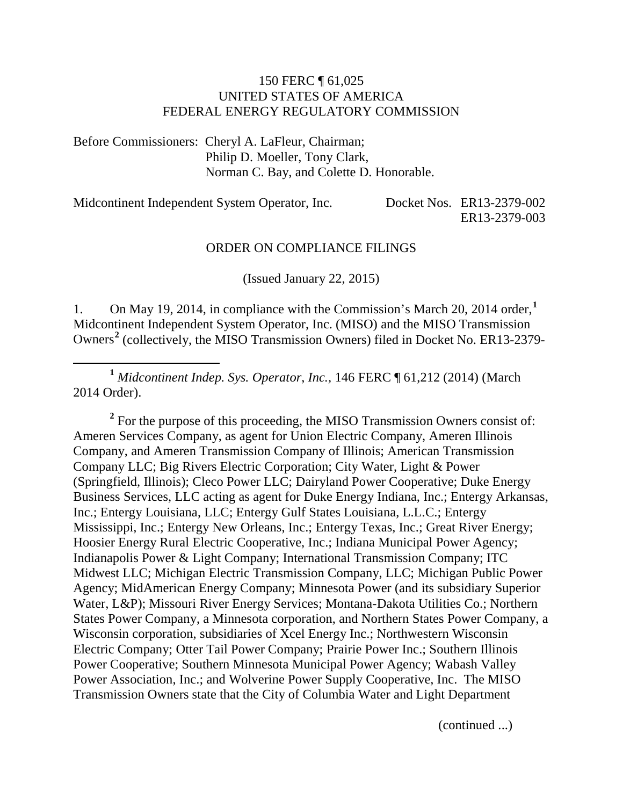#### 150 FERC ¶ 61,025 UNITED STATES OF AMERICA FEDERAL ENERGY REGULATORY COMMISSION

Before Commissioners: Cheryl A. LaFleur, Chairman; Philip D. Moeller, Tony Clark, Norman C. Bay, and Colette D. Honorable.

Midcontinent Independent System Operator, Inc. Docket Nos. ER13-2379-002 ER13-2379-003

#### ORDER ON COMPLIANCE FILINGS

(Issued January 22, 2015)

1. On May 19, 2014, in compliance with the Commission's March 20, 2014 order,**[1](#page-0-0)** Midcontinent Independent System Operator, Inc. (MISO) and the MISO Transmission Owners**[2](#page-0-1)** (collectively, the MISO Transmission Owners) filed in Docket No. ER13-2379-

<span id="page-0-0"></span> **<sup>1</sup>** *Midcontinent Indep. Sys. Operator*, *Inc.,* 146 FERC ¶ 61,212 (2014) (March 2014 Order).

<span id="page-0-1"></span><sup>2</sup> For the purpose of this proceeding, the MISO Transmission Owners consist of: Ameren Services Company, as agent for Union Electric Company, Ameren Illinois Company, and Ameren Transmission Company of Illinois; American Transmission Company LLC; Big Rivers Electric Corporation; City Water, Light & Power (Springfield, Illinois); Cleco Power LLC; Dairyland Power Cooperative; Duke Energy Business Services, LLC acting as agent for Duke Energy Indiana, Inc.; Entergy Arkansas, Inc.; Entergy Louisiana, LLC; Entergy Gulf States Louisiana, L.L.C.; Entergy Mississippi, Inc.; Entergy New Orleans, Inc.; Entergy Texas, Inc.; Great River Energy; Hoosier Energy Rural Electric Cooperative, Inc.; Indiana Municipal Power Agency; Indianapolis Power & Light Company; International Transmission Company; ITC Midwest LLC; Michigan Electric Transmission Company, LLC; Michigan Public Power Agency; MidAmerican Energy Company; Minnesota Power (and its subsidiary Superior Water, L&P); Missouri River Energy Services; Montana-Dakota Utilities Co.; Northern States Power Company, a Minnesota corporation, and Northern States Power Company, a Wisconsin corporation, subsidiaries of Xcel Energy Inc.; Northwestern Wisconsin Electric Company; Otter Tail Power Company; Prairie Power Inc.; Southern Illinois Power Cooperative; Southern Minnesota Municipal Power Agency; Wabash Valley Power Association, Inc.; and Wolverine Power Supply Cooperative, Inc. The MISO Transmission Owners state that the City of Columbia Water and Light Department

(continued ...)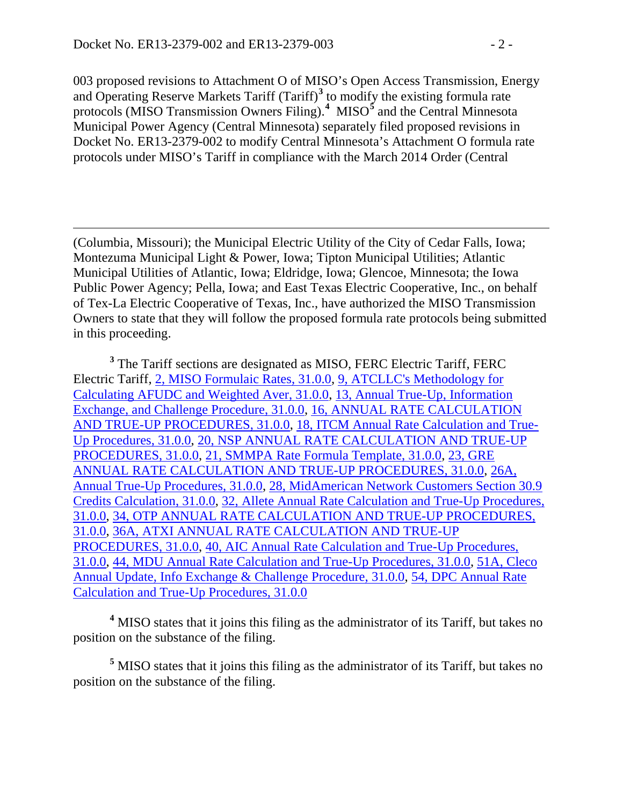$\overline{a}$ 

003 proposed revisions to Attachment O of MISO's Open Access Transmission, Energy and Operating Reserve Markets Tariff (Tariff)**[3](#page-1-0)** to modify the existing formula rate protocols (MISO Transmission Owners Filing).**[4](#page-1-1)** MISO**[5](#page-1-2)** and the Central Minnesota Municipal Power Agency (Central Minnesota) separately filed proposed revisions in Docket No. ER13-2379-002 to modify Central Minnesota's Attachment O formula rate protocols under MISO's Tariff in compliance with the March 2014 Order (Central

(Columbia, Missouri); the Municipal Electric Utility of the City of Cedar Falls, Iowa; Montezuma Municipal Light & Power, Iowa; Tipton Municipal Utilities; Atlantic Municipal Utilities of Atlantic, Iowa; Eldridge, Iowa; Glencoe, Minnesota; the Iowa Public Power Agency; Pella, Iowa; and East Texas Electric Cooperative, Inc., on behalf of Tex-La Electric Cooperative of Texas, Inc., have authorized the MISO Transmission Owners to state that they will follow the proposed formula rate protocols being submitted in this proceeding.

<span id="page-1-0"></span>**<sup>3</sup>** The Tariff sections are designated as MISO, FERC Electric Tariff, FERC Electric Tariff, [2, MISO Formulaic Rates, 31.0.0,](http://etariff.ferc.gov/TariffSectionDetails.aspx?tid=1162&sid=162889) [9, ATCLLC's Methodology for](http://etariff.ferc.gov/TariffSectionDetails.aspx?tid=1162&sid=162890)  [Calculating AFUDC and Weighted Aver, 31.0.0,](http://etariff.ferc.gov/TariffSectionDetails.aspx?tid=1162&sid=162890) [13, Annual True-Up, Information](http://etariff.ferc.gov/TariffSectionDetails.aspx?tid=1162&sid=162887)  [Exchange, and Challenge Procedure, 31.0.0,](http://etariff.ferc.gov/TariffSectionDetails.aspx?tid=1162&sid=162887) [16, ANNUAL RATE CALCULATION](http://etariff.ferc.gov/TariffSectionDetails.aspx?tid=1162&sid=162884)  [AND TRUE-UP PROCEDURES, 31.0.0,](http://etariff.ferc.gov/TariffSectionDetails.aspx?tid=1162&sid=162884) [18, ITCM Annual Rate Calculation and True-](http://etariff.ferc.gov/TariffSectionDetails.aspx?tid=1162&sid=162885)[Up Procedures, 31.0.0,](http://etariff.ferc.gov/TariffSectionDetails.aspx?tid=1162&sid=162885) [20, NSP ANNUAL RATE CALCULATION AND TRUE-UP](http://etariff.ferc.gov/TariffSectionDetails.aspx?tid=1162&sid=162886)  [PROCEDURES, 31.0.0,](http://etariff.ferc.gov/TariffSectionDetails.aspx?tid=1162&sid=162886) [21, SMMPA Rate Formula Template, 31.0.0,](http://etariff.ferc.gov/TariffSectionDetails.aspx?tid=1162&sid=162891) [23, GRE](http://etariff.ferc.gov/TariffSectionDetails.aspx?tid=1162&sid=162898)  [ANNUAL RATE CALCULATION AND TRUE-UP PROCEDURES, 31.0.0,](http://etariff.ferc.gov/TariffSectionDetails.aspx?tid=1162&sid=162898) [26A,](http://etariff.ferc.gov/TariffSectionDetails.aspx?tid=1162&sid=162897)  [Annual True-Up Procedures, 31.0.0,](http://etariff.ferc.gov/TariffSectionDetails.aspx?tid=1162&sid=162897) [28, MidAmerican Network Customers Section 30.9](http://etariff.ferc.gov/TariffSectionDetails.aspx?tid=1162&sid=162900) [Credits Calculation, 31.0.0,](http://etariff.ferc.gov/TariffSectionDetails.aspx?tid=1162&sid=162900) [32, Allete Annual Rate Calculation and True-Up Procedures,](http://etariff.ferc.gov/TariffSectionDetails.aspx?tid=1162&sid=162899)  [31.0.0,](http://etariff.ferc.gov/TariffSectionDetails.aspx?tid=1162&sid=162899) [34, OTP ANNUAL RATE CALCULATION AND TRUE-UP PROCEDURES,](http://etariff.ferc.gov/TariffSectionDetails.aspx?tid=1162&sid=162896)  [31.0.0,](http://etariff.ferc.gov/TariffSectionDetails.aspx?tid=1162&sid=162896) [36A, ATXI ANNUAL RATE CALCULATION AND TRUE-UP](http://etariff.ferc.gov/TariffSectionDetails.aspx?tid=1162&sid=162893)  [PROCEDURES, 31.0.0,](http://etariff.ferc.gov/TariffSectionDetails.aspx?tid=1162&sid=162893) [40, AIC Annual Rate Calculation and True-Up Procedures,](http://etariff.ferc.gov/TariffSectionDetails.aspx?tid=1162&sid=162892)  [31.0.0,](http://etariff.ferc.gov/TariffSectionDetails.aspx?tid=1162&sid=162892) [44, MDU Annual Rate Calculation and True-Up Procedures, 31.0.0,](http://etariff.ferc.gov/TariffSectionDetails.aspx?tid=1162&sid=162895) [51A, Cleco](http://etariff.ferc.gov/TariffSectionDetails.aspx?tid=1162&sid=162894)  [Annual Update, Info Exchange & Challenge Procedure, 31.0.0,](http://etariff.ferc.gov/TariffSectionDetails.aspx?tid=1162&sid=162894) [54, DPC Annual Rate](http://etariff.ferc.gov/TariffSectionDetails.aspx?tid=1162&sid=162888)  [Calculation and True-Up Procedures, 31.0.0](http://etariff.ferc.gov/TariffSectionDetails.aspx?tid=1162&sid=162888)

<span id="page-1-1"></span>**<sup>4</sup>** MISO states that it joins this filing as the administrator of its Tariff, but takes no position on the substance of the filing.

<span id="page-1-2"></span>**<sup>5</sup>** MISO states that it joins this filing as the administrator of its Tariff, but takes no position on the substance of the filing.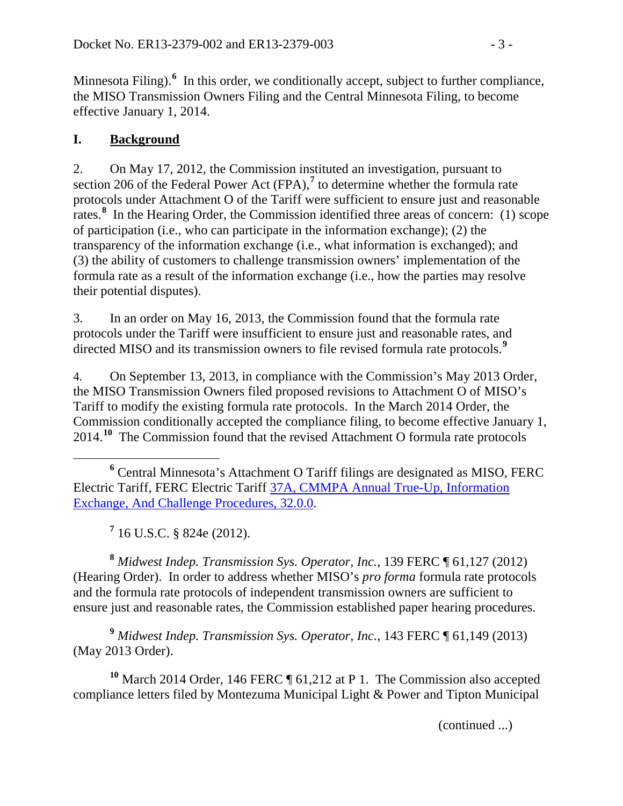Minnesota Filing).<sup>[6](#page-2-0)</sup> In this order, we conditionally accept, subject to further compliance, the MISO Transmission Owners Filing and the Central Minnesota Filing, to become effective January 1, 2014.

# **I. Background**

2. On May 17, 2012, the Commission instituted an investigation, pursuant to section 206 of the Federal Power Act (FPA),<sup>[7](#page-2-1)</sup> to determine whether the formula rate protocols under Attachment O of the Tariff were sufficient to ensure just and reasonable rates.<sup>[8](#page-2-2)</sup> In the Hearing Order, the Commission identified three areas of concern: (1) scope of participation (i.e., who can participate in the information exchange); (2) the transparency of the information exchange (i.e., what information is exchanged); and (3) the ability of customers to challenge transmission owners' implementation of the formula rate as a result of the information exchange (i.e., how the parties may resolve their potential disputes).

3. In an order on May 16, 2013, the Commission found that the formula rate protocols under the Tariff were insufficient to ensure just and reasonable rates, and directed MISO and its transmission owners to file revised formula rate protocols.**[9](#page-2-3)**

4. On September 13, 2013, in compliance with the Commission's May 2013 Order, the MISO Transmission Owners filed proposed revisions to Attachment O of MISO's Tariff to modify the existing formula rate protocols. In the March 2014 Order, the Commission conditionally accepted the compliance filing, to become effective January 1, 2014.**[10](#page-2-4)** The Commission found that the revised Attachment O formula rate protocols

**<sup>7</sup>** 16 U.S.C. § 824e (2012).

<span id="page-2-2"></span><span id="page-2-1"></span>**<sup>8</sup>** *Midwest Indep. Transmission Sys. Operator, Inc.*, 139 FERC ¶ 61,127 (2012) (Hearing Order). In order to address whether MISO's *pro forma* formula rate protocols and the formula rate protocols of independent transmission owners are sufficient to ensure just and reasonable rates, the Commission established paper hearing procedures.

<span id="page-2-3"></span>**<sup>9</sup>** *Midwest Indep. Transmission Sys. Operator*, *Inc.*, 143 FERC ¶ 61,149 (2013) (May 2013 Order).

<span id="page-2-4"></span>**<sup>10</sup>** March 2014 Order, 146 FERC ¶ 61,212 at P 1. The Commission also accepted compliance letters filed by Montezuma Municipal Light & Power and Tipton Municipal

(continued ...)

<span id="page-2-0"></span>**<sup>6</sup>** Central Minnesota's Attachment O Tariff filings are designated as MISO, FERC Electric Tariff, FERC Electric Tariff [37A, CMMPA Annual True-Up, Information](http://etariff.ferc.gov/TariffSectionDetails.aspx?tid=1162&sid=162875)  [Exchange, And Challenge Procedures, 32.0.0.](http://etariff.ferc.gov/TariffSectionDetails.aspx?tid=1162&sid=162875)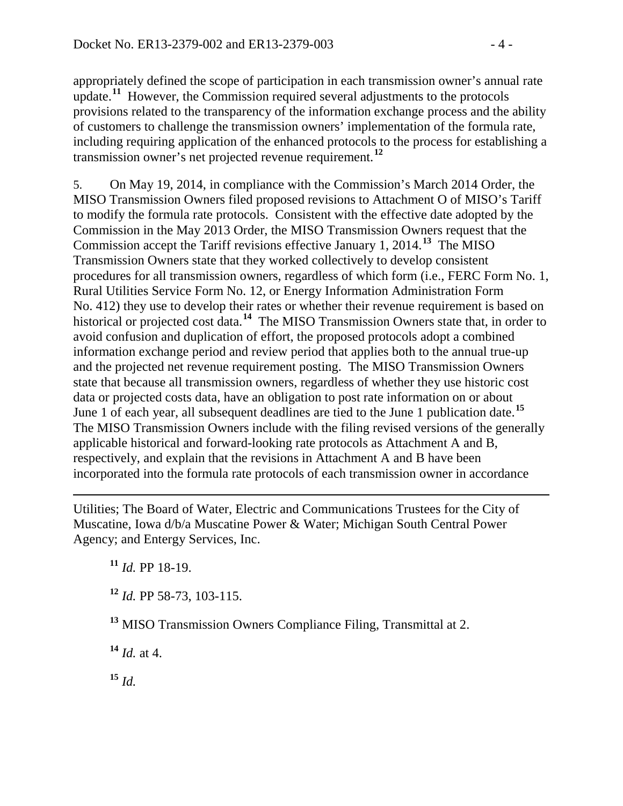appropriately defined the scope of participation in each transmission owner's annual rate update.**[11](#page-3-0)** However, the Commission required several adjustments to the protocols provisions related to the transparency of the information exchange process and the ability of customers to challenge the transmission owners' implementation of the formula rate, including requiring application of the enhanced protocols to the process for establishing a transmission owner's net projected revenue requirement.**[12](#page-3-1)**

5. On May 19, 2014, in compliance with the Commission's March 2014 Order, the MISO Transmission Owners filed proposed revisions to Attachment O of MISO's Tariff to modify the formula rate protocols. Consistent with the effective date adopted by the Commission in the May 2013 Order, the MISO Transmission Owners request that the Commission accept the Tariff revisions effective January 1, 2014.**[13](#page-3-2)** The MISO Transmission Owners state that they worked collectively to develop consistent procedures for all transmission owners, regardless of which form (i.e., FERC Form No. 1, Rural Utilities Service Form No. 12, or Energy Information Administration Form No. 412) they use to develop their rates or whether their revenue requirement is based on historical or projected cost data.**[14](#page-3-3)** The MISO Transmission Owners state that, in order to avoid confusion and duplication of effort, the proposed protocols adopt a combined information exchange period and review period that applies both to the annual true-up and the projected net revenue requirement posting. The MISO Transmission Owners state that because all transmission owners, regardless of whether they use historic cost data or projected costs data, have an obligation to post rate information on or about June 1 of each year, all subsequent deadlines are tied to the June 1 publication date.**[15](#page-3-4)** The MISO Transmission Owners include with the filing revised versions of the generally applicable historical and forward-looking rate protocols as Attachment A and B, respectively, and explain that the revisions in Attachment A and B have been incorporated into the formula rate protocols of each transmission owner in accordance

<span id="page-3-0"></span> $\overline{a}$ Utilities; The Board of Water, Electric and Communications Trustees for the City of Muscatine, Iowa d/b/a Muscatine Power & Water; Michigan South Central Power Agency; and Entergy Services, Inc.

**<sup>11</sup>** *Id.* PP 18-19.

<span id="page-3-1"></span>**<sup>12</sup>** *Id.* PP 58-73, 103-115.

<span id="page-3-2"></span>**<sup>13</sup>** MISO Transmission Owners Compliance Filing, Transmittal at 2.

<span id="page-3-3"></span>**<sup>14</sup>** *Id.* at 4.

<span id="page-3-4"></span>**<sup>15</sup>** *Id.*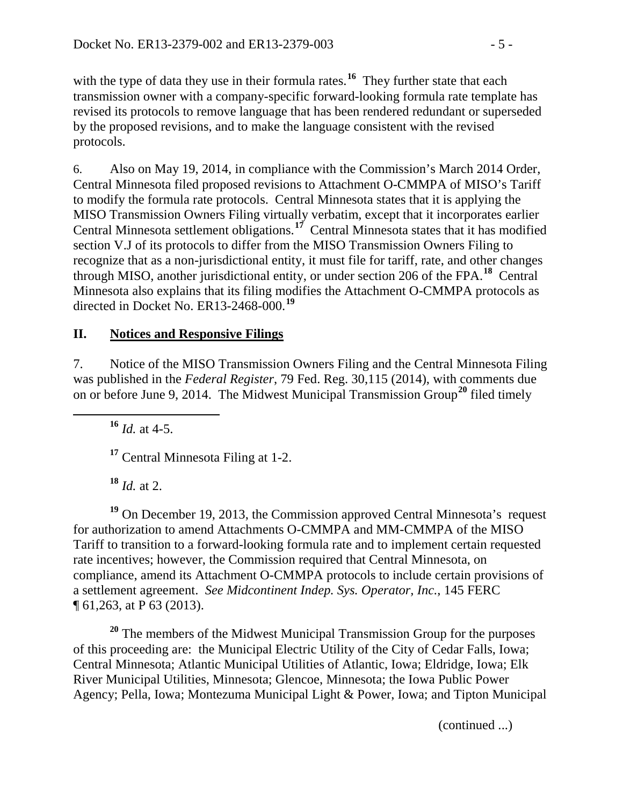with the type of data they use in their formula rates.<sup>[16](#page-4-0)</sup> They further state that each transmission owner with a company-specific forward-looking formula rate template has revised its protocols to remove language that has been rendered redundant or superseded by the proposed revisions, and to make the language consistent with the revised protocols.

6. Also on May 19, 2014, in compliance with the Commission's March 2014 Order, Central Minnesota filed proposed revisions to Attachment O-CMMPA of MISO's Tariff to modify the formula rate protocols. Central Minnesota states that it is applying the MISO Transmission Owners Filing virtually verbatim, except that it incorporates earlier Central Minnesota settlement obligations.**[17](#page-4-1)** Central Minnesota states that it has modified section V.J of its protocols to differ from the MISO Transmission Owners Filing to recognize that as a non-jurisdictional entity, it must file for tariff, rate, and other changes through MISO, another jurisdictional entity, or under section 206 of the FPA. **[18](#page-4-2)** Central Minnesota also explains that its filing modifies the Attachment O-CMMPA protocols as directed in Docket No. ER13-2468-000.**[19](#page-4-3)**

### **II. Notices and Responsive Filings**

<span id="page-4-0"></span>7. Notice of the MISO Transmission Owners Filing and the Central Minnesota Filing was published in the *Federal Register*, 79 Fed. Reg. 30,115 (2014), with comments due on or before June 9, 2014. The Midwest Municipal Transmission Group**[20](#page-4-4)** filed timely

**<sup>16</sup>** *Id.* at 4-5.

**<sup>17</sup>** Central Minnesota Filing at 1-2.

**<sup>18</sup>** *Id.* at 2.

<span id="page-4-3"></span><span id="page-4-2"></span><span id="page-4-1"></span>**<sup>19</sup>** On December 19, 2013, the Commission approved Central Minnesota's request for authorization to amend Attachments O-CMMPA and MM-CMMPA of the MISO Tariff to transition to a forward-looking formula rate and to implement certain requested rate incentives; however, the Commission required that Central Minnesota, on compliance, amend its Attachment O-CMMPA protocols to include certain provisions of a settlement agreement. *See Midcontinent Indep. Sys. Operator, Inc.*, 145 FERC ¶ 61,263, at P 63 (2013).

<span id="page-4-4"></span>**<sup>20</sup>** The members of the Midwest Municipal Transmission Group for the purposes of this proceeding are: the Municipal Electric Utility of the City of Cedar Falls, Iowa; Central Minnesota; Atlantic Municipal Utilities of Atlantic, Iowa; Eldridge, Iowa; Elk River Municipal Utilities, Minnesota; Glencoe, Minnesota; the Iowa Public Power Agency; Pella, Iowa; Montezuma Municipal Light & Power, Iowa; and Tipton Municipal

(continued ...)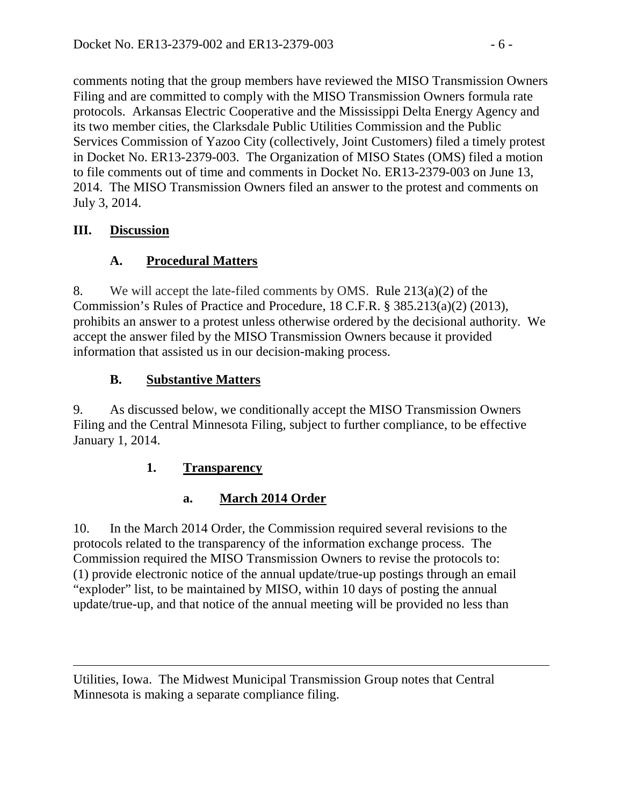comments noting that the group members have reviewed the MISO Transmission Owners Filing and are committed to comply with the MISO Transmission Owners formula rate protocols. Arkansas Electric Cooperative and the Mississippi Delta Energy Agency and its two member cities, the Clarksdale Public Utilities Commission and the Public Services Commission of Yazoo City (collectively, Joint Customers) filed a timely protest in Docket No. ER13-2379-003. The Organization of MISO States (OMS) filed a motion to file comments out of time and comments in Docket No. ER13-2379-003 on June 13, 2014. The MISO Transmission Owners filed an answer to the protest and comments on July 3, 2014.

### **III. Discussion**

# **A. Procedural Matters**

8. We will accept the late-filed comments by OMS. Rule  $213(a)(2)$  of the Commission's Rules of Practice and Procedure, 18 C.F.R. § 385.213(a)(2) (2013), prohibits an answer to a protest unless otherwise ordered by the decisional authority. We accept the answer filed by the MISO Transmission Owners because it provided information that assisted us in our decision-making process.

# **B. Substantive Matters**

9. As discussed below, we conditionally accept the MISO Transmission Owners Filing and the Central Minnesota Filing, subject to further compliance, to be effective January 1, 2014.

# **1. Transparency**

# **a. March 2014 Order**

10. In the March 2014 Order, the Commission required several revisions to the protocols related to the transparency of the information exchange process. The Commission required the MISO Transmission Owners to revise the protocols to: (1) provide electronic notice of the annual update/true-up postings through an email "exploder" list, to be maintained by MISO, within 10 days of posting the annual update/true-up, and that notice of the annual meeting will be provided no less than

 $\overline{a}$ Utilities, Iowa. The Midwest Municipal Transmission Group notes that Central Minnesota is making a separate compliance filing.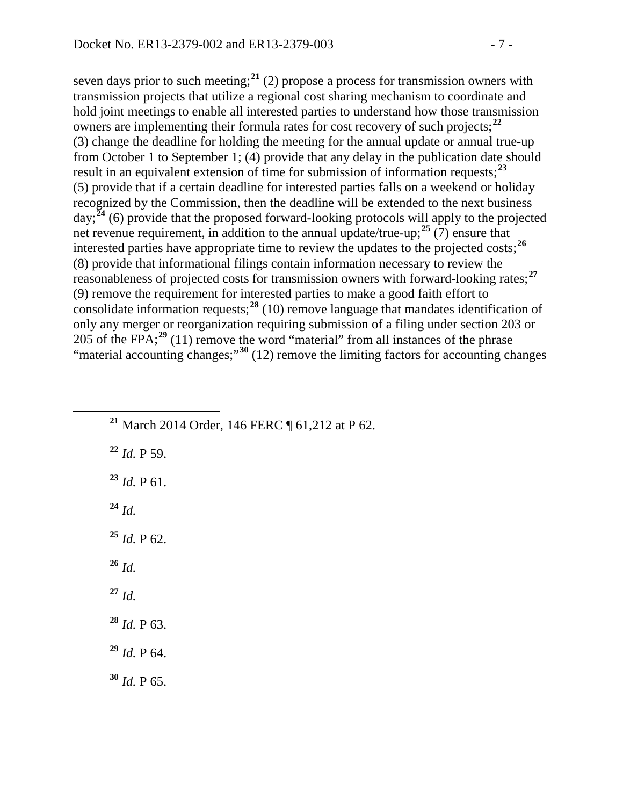seven days prior to such meeting;<sup>[21](#page-6-0)</sup> (2) propose a process for transmission owners with transmission projects that utilize a regional cost sharing mechanism to coordinate and hold joint meetings to enable all interested parties to understand how those transmission owners are implementing their formula rates for cost recovery of such projects;**[22](#page-6-1)** (3) change the deadline for holding the meeting for the annual update or annual true-up from October 1 to September 1; (4) provide that any delay in the publication date should result in an equivalent extension of time for submission of information requests;**[23](#page-6-2)** (5) provide that if a certain deadline for interested parties falls on a weekend or holiday recognized by the Commission, then the deadline will be extended to the next business day;**[24](#page-6-3)** (6) provide that the proposed forward-looking protocols will apply to the projected net revenue requirement, in addition to the annual update/true-up;**[25](#page-6-4)** (7) ensure that interested parties have appropriate time to review the updates to the projected costs;**[26](#page-6-5)** (8) provide that informational filings contain information necessary to review the reasonableness of projected costs for transmission owners with forward-looking rates; **[27](#page-6-6)** (9) remove the requirement for interested parties to make a good faith effort to consolidate information requests; **[28](#page-6-7)** (10) remove language that mandates identification of only any merger or reorganization requiring submission of a filing under section 203 or 205 of the FPA;**[29](#page-6-8)** (11) remove the word "material" from all instances of the phrase "material accounting changes;"**[30](#page-6-9)** (12) remove the limiting factors for accounting changes

<span id="page-6-3"></span><span id="page-6-2"></span><span id="page-6-1"></span><span id="page-6-0"></span>**<sup>22</sup>** *Id.* P 59. **<sup>23</sup>** *Id.* P 61. **<sup>24</sup>** *Id.*  $^{25}$  *Id.* P 62. **<sup>26</sup>** *Id.*

**<sup>21</sup>** March 2014 Order, 146 FERC ¶ 61,212 at P 62.

- <span id="page-6-6"></span><span id="page-6-5"></span><span id="page-6-4"></span>**<sup>27</sup>** *Id.*
- <span id="page-6-7"></span>**<sup>28</sup>** *Id.* P 63.
- <span id="page-6-8"></span>**<sup>29</sup>** *Id.* P 64.
- <span id="page-6-9"></span>**<sup>30</sup>** *Id.* P 65.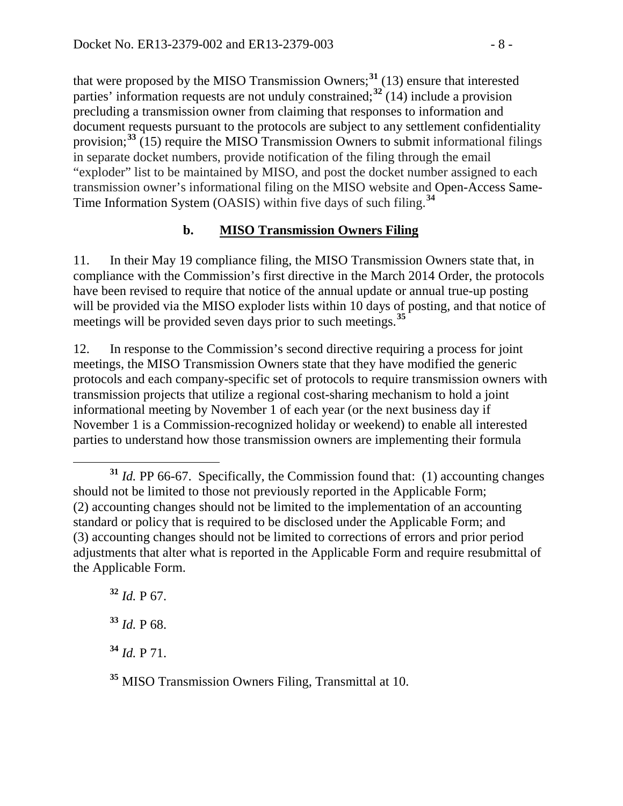that were proposed by the MISO Transmission Owners; **[31](#page-7-0)** (13) ensure that interested parties' information requests are not unduly constrained;**[32](#page-7-1)** (14) include a provision precluding a transmission owner from claiming that responses to information and document requests pursuant to the protocols are subject to any settlement confidentiality provision;<sup>[33](#page-7-2)</sup> (15) require the MISO Transmission Owners to submit informational filings in separate docket numbers, provide notification of the filing through the email "exploder" list to be maintained by MISO, and post the docket number assigned to each transmission owner's informational filing on the MISO website and Open-Access Same-Time Information System (OASIS) within five days of such filing.**[34](#page-7-3)**

### **b. MISO Transmission Owners Filing**

11. In their May 19 compliance filing, the MISO Transmission Owners state that, in compliance with the Commission's first directive in the March 2014 Order, the protocols have been revised to require that notice of the annual update or annual true-up posting will be provided via the MISO exploder lists within 10 days of posting, and that notice of meetings will be provided seven days prior to such meetings. **[35](#page-7-4)**

12. In response to the Commission's second directive requiring a process for joint meetings, the MISO Transmission Owners state that they have modified the generic protocols and each company-specific set of protocols to require transmission owners with transmission projects that utilize a regional cost-sharing mechanism to hold a joint informational meeting by November 1 of each year (or the next business day if November 1 is a Commission-recognized holiday or weekend) to enable all interested parties to understand how those transmission owners are implementing their formula

<span id="page-7-1"></span> $32$  *Id.* P 67.

<span id="page-7-2"></span>**<sup>33</sup>** *Id.* P 68.

<span id="page-7-3"></span>**<sup>34</sup>** *Id.* P 71.

<span id="page-7-4"></span>**<sup>35</sup>** MISO Transmission Owners Filing, Transmittal at 10.

<span id="page-7-0"></span>**<sup>31</sup>** *Id.* PP 66-67. Specifically, the Commission found that: (1) accounting changes should not be limited to those not previously reported in the Applicable Form; (2) accounting changes should not be limited to the implementation of an accounting standard or policy that is required to be disclosed under the Applicable Form; and (3) accounting changes should not be limited to corrections of errors and prior period adjustments that alter what is reported in the Applicable Form and require resubmittal of the Applicable Form.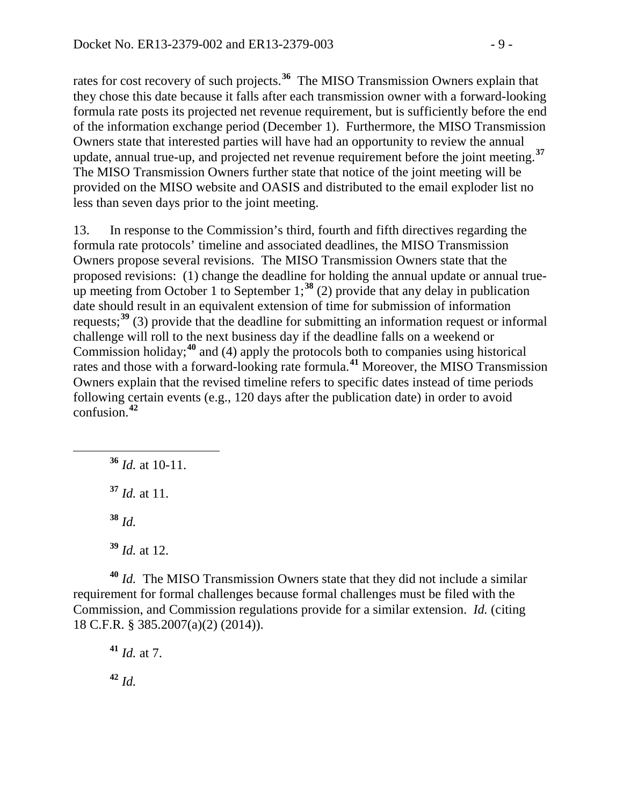rates for cost recovery of such projects.<sup>[36](#page-8-0)</sup> The MISO Transmission Owners explain that they chose this date because it falls after each transmission owner with a forward-looking formula rate posts its projected net revenue requirement, but is sufficiently before the end of the information exchange period (December 1). Furthermore, the MISO Transmission Owners state that interested parties will have had an opportunity to review the annual update, annual true-up, and projected net revenue requirement before the joint meeting. **[37](#page-8-1)** The MISO Transmission Owners further state that notice of the joint meeting will be provided on the MISO website and OASIS and distributed to the email exploder list no less than seven days prior to the joint meeting.

13. In response to the Commission's third, fourth and fifth directives regarding the formula rate protocols' timeline and associated deadlines, the MISO Transmission Owners propose several revisions. The MISO Transmission Owners state that the proposed revisions: (1) change the deadline for holding the annual update or annual trueup meeting from October 1 to September  $1$ ;<sup>[38](#page-8-2)</sup> (2) provide that any delay in publication date should result in an equivalent extension of time for submission of information requests;**[39](#page-8-3)** (3) provide that the deadline for submitting an information request or informal challenge will roll to the next business day if the deadline falls on a weekend or Commission holiday;**[40](#page-8-4)** and (4) apply the protocols both to companies using historical rates and those with a forward-looking rate formula.**[41](#page-8-5)** Moreover, the MISO Transmission Owners explain that the revised timeline refers to specific dates instead of time periods following certain events (e.g., 120 days after the publication date) in order to avoid confusion.**[42](#page-8-6)**

<span id="page-8-0"></span> **<sup>36</sup>** *Id.* at 10-11. **<sup>37</sup>** *Id.* at 11. **<sup>38</sup>** *Id.* **<sup>39</sup>** *Id.* at 12.

<span id="page-8-5"></span><span id="page-8-4"></span><span id="page-8-3"></span><span id="page-8-2"></span><span id="page-8-1"></span>**<sup>40</sup>** *Id.* The MISO Transmission Owners state that they did not include a similar requirement for formal challenges because formal challenges must be filed with the Commission, and Commission regulations provide for a similar extension. *Id.* (citing 18 C.F.R. § 385.2007(a)(2) (2014)).

<span id="page-8-6"></span>**<sup>41</sup>** *Id.* at 7. **<sup>42</sup>** *Id.*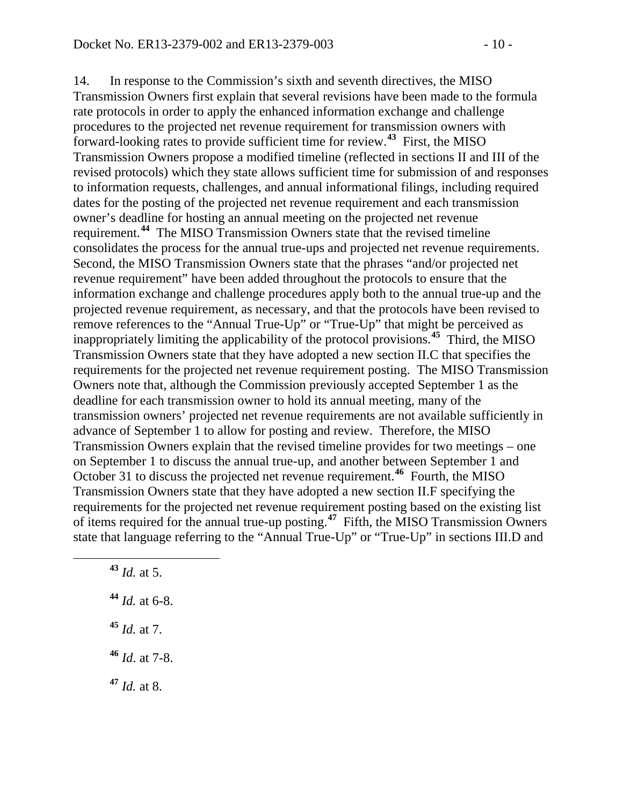14. In response to the Commission's sixth and seventh directives, the MISO Transmission Owners first explain that several revisions have been made to the formula rate protocols in order to apply the enhanced information exchange and challenge procedures to the projected net revenue requirement for transmission owners with forward-looking rates to provide sufficient time for review. **[43](#page-9-0)** First, the MISO Transmission Owners propose a modified timeline (reflected in sections II and III of the revised protocols) which they state allows sufficient time for submission of and responses to information requests, challenges, and annual informational filings, including required dates for the posting of the projected net revenue requirement and each transmission owner's deadline for hosting an annual meeting on the projected net revenue requirement. **[44](#page-9-1)** The MISO Transmission Owners state that the revised timeline consolidates the process for the annual true-ups and projected net revenue requirements. Second, the MISO Transmission Owners state that the phrases "and/or projected net revenue requirement" have been added throughout the protocols to ensure that the information exchange and challenge procedures apply both to the annual true-up and the projected revenue requirement, as necessary, and that the protocols have been revised to remove references to the "Annual True-Up" or "True-Up" that might be perceived as inappropriately limiting the applicability of the protocol provisions. **[45](#page-9-2)** Third, the MISO Transmission Owners state that they have adopted a new section II.C that specifies the requirements for the projected net revenue requirement posting. The MISO Transmission Owners note that, although the Commission previously accepted September 1 as the deadline for each transmission owner to hold its annual meeting, many of the transmission owners' projected net revenue requirements are not available sufficiently in advance of September 1 to allow for posting and review. Therefore, the MISO Transmission Owners explain that the revised timeline provides for two meetings – one on September 1 to discuss the annual true-up, and another between September 1 and October 31 to discuss the projected net revenue requirement.**[46](#page-9-3)** Fourth, the MISO Transmission Owners state that they have adopted a new section II.F specifying the requirements for the projected net revenue requirement posting based on the existing list of items required for the annual true-up posting.**[47](#page-9-4)** Fifth, the MISO Transmission Owners state that language referring to the "Annual True-Up" or "True-Up" in sections III.D and

<span id="page-9-4"></span><span id="page-9-3"></span><span id="page-9-2"></span><span id="page-9-1"></span><span id="page-9-0"></span> **<sup>43</sup>** *Id.* at 5. **<sup>44</sup>** *Id.* at 6-8. **<sup>45</sup>** *Id.* at 7. **<sup>46</sup>** *Id*. at 7-8. **<sup>47</sup>** *Id.* at 8.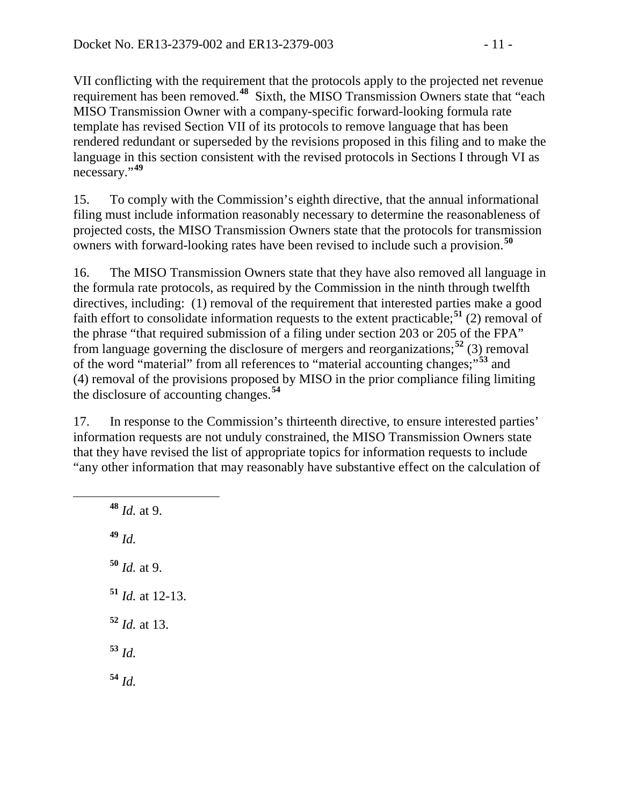VII conflicting with the requirement that the protocols apply to the projected net revenue requirement has been removed.**[48](#page-10-0)** Sixth, the MISO Transmission Owners state that "each MISO Transmission Owner with a company-specific forward-looking formula rate template has revised Section VII of its protocols to remove language that has been rendered redundant or superseded by the revisions proposed in this filing and to make the language in this section consistent with the revised protocols in Sections I through VI as necessary."**[49](#page-10-1)**

15. To comply with the Commission's eighth directive, that the annual informational filing must include information reasonably necessary to determine the reasonableness of projected costs, the MISO Transmission Owners state that the protocols for transmission owners with forward-looking rates have been revised to include such a provision.**[50](#page-10-2)**

16. The MISO Transmission Owners state that they have also removed all language in the formula rate protocols, as required by the Commission in the ninth through twelfth directives, including: (1) removal of the requirement that interested parties make a good faith effort to consolidate information requests to the extent practicable;**[51](#page-10-3)** (2) removal of the phrase "that required submission of a filing under section 203 or 205 of the FPA" from language governing the disclosure of mergers and reorganizations;**[52](#page-10-4)** (3) removal of the word "material" from all references to "material accounting changes;"**[53](#page-10-5)** and (4) removal of the provisions proposed by MISO in the prior compliance filing limiting the disclosure of accounting changes. **[54](#page-10-6)**

17. In response to the Commission's thirteenth directive, to ensure interested parties' information requests are not unduly constrained, the MISO Transmission Owners state that they have revised the list of appropriate topics for information requests to include "any other information that may reasonably have substantive effect on the calculation of

<span id="page-10-6"></span><span id="page-10-5"></span><span id="page-10-4"></span><span id="page-10-3"></span><span id="page-10-2"></span><span id="page-10-1"></span><span id="page-10-0"></span> **<sup>48</sup>** *Id.* at 9. **<sup>49</sup>** *Id.* **<sup>50</sup>** *Id.* at 9. **<sup>51</sup>** *Id.* at 12-13. **<sup>52</sup>** *Id.* at 13. **<sup>53</sup>** *Id.* **<sup>54</sup>** *Id.*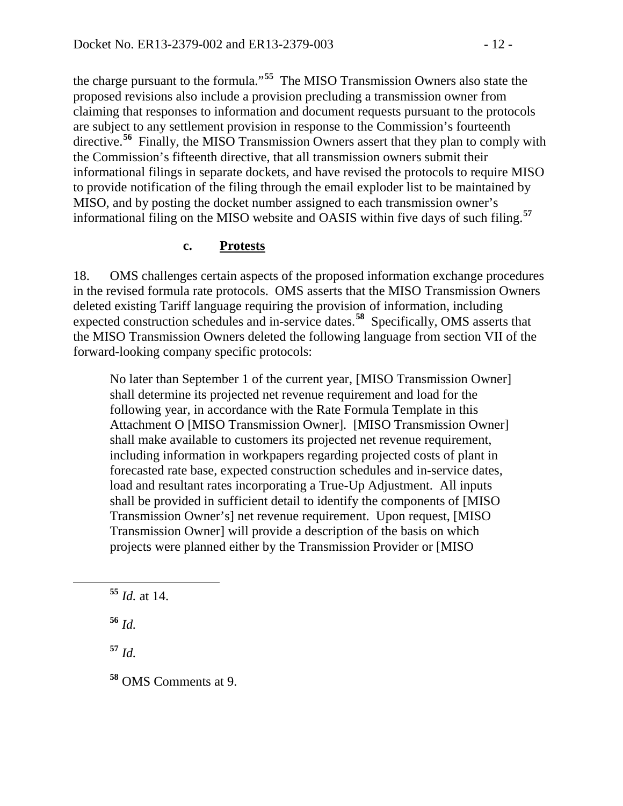the charge pursuant to the formula."**[55](#page-11-0)** The MISO Transmission Owners also state the proposed revisions also include a provision precluding a transmission owner from claiming that responses to information and document requests pursuant to the protocols are subject to any settlement provision in response to the Commission's fourteenth directive. **[56](#page-11-1)** Finally, the MISO Transmission Owners assert that they plan to comply with the Commission's fifteenth directive, that all transmission owners submit their informational filings in separate dockets, and have revised the protocols to require MISO to provide notification of the filing through the email exploder list to be maintained by MISO, and by posting the docket number assigned to each transmission owner's informational filing on the MISO website and OASIS within five days of such filing.**[57](#page-11-2)**

#### **c. Protests**

18. OMS challenges certain aspects of the proposed information exchange procedures in the revised formula rate protocols. OMS asserts that the MISO Transmission Owners deleted existing Tariff language requiring the provision of information, including expected construction schedules and in-service dates.**[58](#page-11-3)** Specifically, OMS asserts that the MISO Transmission Owners deleted the following language from section VII of the forward-looking company specific protocols:

No later than September 1 of the current year, [MISO Transmission Owner] shall determine its projected net revenue requirement and load for the following year, in accordance with the Rate Formula Template in this Attachment O [MISO Transmission Owner]. [MISO Transmission Owner] shall make available to customers its projected net revenue requirement, including information in workpapers regarding projected costs of plant in forecasted rate base, expected construction schedules and in-service dates, load and resultant rates incorporating a True-Up Adjustment. All inputs shall be provided in sufficient detail to identify the components of [MISO Transmission Owner's] net revenue requirement. Upon request, [MISO Transmission Owner] will provide a description of the basis on which projects were planned either by the Transmission Provider or [MISO

<span id="page-11-0"></span>**<sup>55</sup>** *Id.* at 14.

<span id="page-11-1"></span>**<sup>56</sup>** *Id.*

<span id="page-11-2"></span>**<sup>57</sup>** *Id.*

<span id="page-11-3"></span>**<sup>58</sup>** OMS Comments at 9.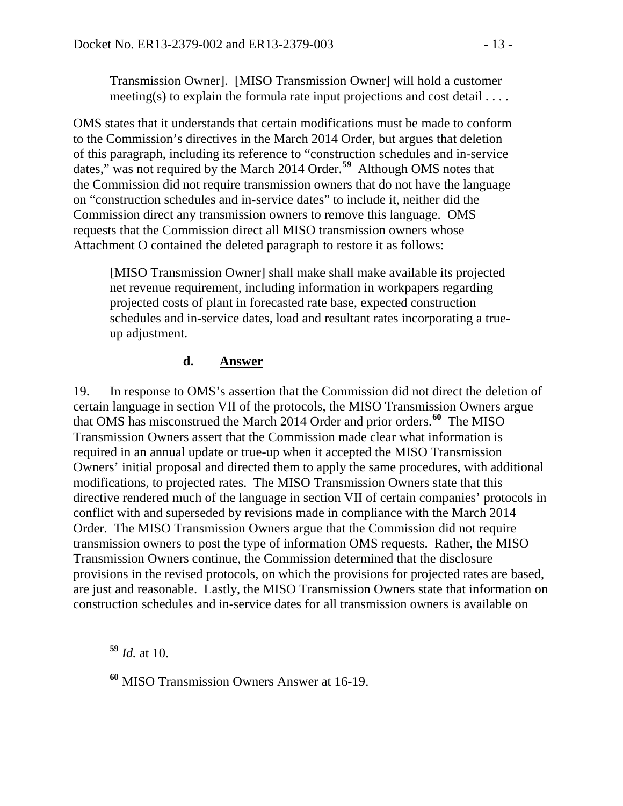Transmission Owner]. [MISO Transmission Owner] will hold a customer meeting(s) to explain the formula rate input projections and cost detail  $\dots$ .

OMS states that it understands that certain modifications must be made to conform to the Commission's directives in the March 2014 Order, but argues that deletion of this paragraph, including its reference to "construction schedules and in-service dates," was not required by the March 2014 Order.**[59](#page-12-0)** Although OMS notes that the Commission did not require transmission owners that do not have the language on "construction schedules and in-service dates" to include it, neither did the Commission direct any transmission owners to remove this language. OMS requests that the Commission direct all MISO transmission owners whose Attachment O contained the deleted paragraph to restore it as follows:

[MISO Transmission Owner] shall make shall make available its projected net revenue requirement, including information in workpapers regarding projected costs of plant in forecasted rate base, expected construction schedules and in-service dates, load and resultant rates incorporating a trueup adjustment.

#### **d. Answer**

19. In response to OMS's assertion that the Commission did not direct the deletion of certain language in section VII of the protocols, the MISO Transmission Owners argue that OMS has misconstrued the March 2014 Order and prior orders.**[60](#page-12-1)** The MISO Transmission Owners assert that the Commission made clear what information is required in an annual update or true-up when it accepted the MISO Transmission Owners' initial proposal and directed them to apply the same procedures, with additional modifications, to projected rates. The MISO Transmission Owners state that this directive rendered much of the language in section VII of certain companies' protocols in conflict with and superseded by revisions made in compliance with the March 2014 Order. The MISO Transmission Owners argue that the Commission did not require transmission owners to post the type of information OMS requests. Rather, the MISO Transmission Owners continue, the Commission determined that the disclosure provisions in the revised protocols, on which the provisions for projected rates are based, are just and reasonable. Lastly, the MISO Transmission Owners state that information on construction schedules and in-service dates for all transmission owners is available on

<span id="page-12-0"></span>**<sup>59</sup>** *Id.* at 10.

<span id="page-12-1"></span>**<sup>60</sup>** MISO Transmission Owners Answer at 16-19.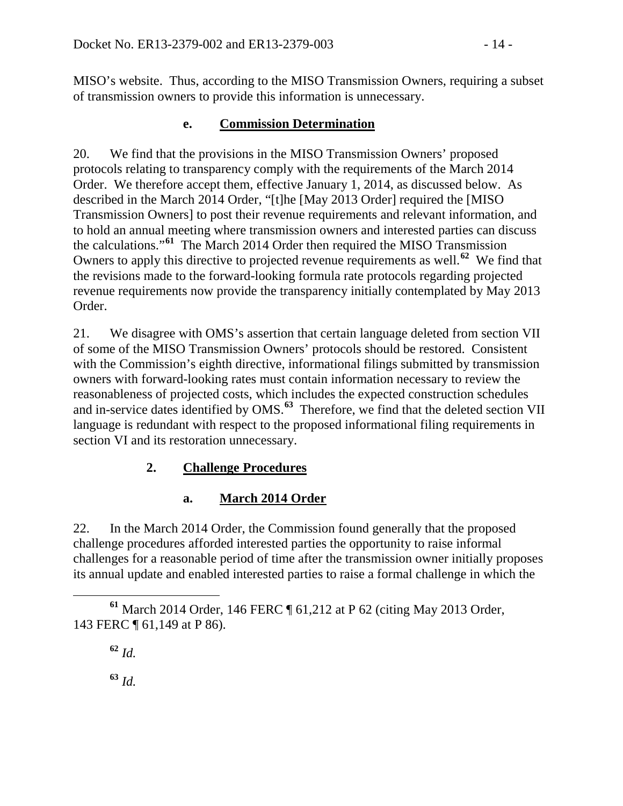MISO's website. Thus, according to the MISO Transmission Owners, requiring a subset of transmission owners to provide this information is unnecessary.

### **e. Commission Determination**

20. We find that the provisions in the MISO Transmission Owners' proposed protocols relating to transparency comply with the requirements of the March 2014 Order. We therefore accept them, effective January 1, 2014, as discussed below. As described in the March 2014 Order, "[t]he [May 2013 Order] required the [MISO Transmission Owners] to post their revenue requirements and relevant information, and to hold an annual meeting where transmission owners and interested parties can discuss the calculations."**[61](#page-13-0)** The March 2014 Order then required the MISO Transmission Owners to apply this directive to projected revenue requirements as well.**[62](#page-13-1)** We find that the revisions made to the forward-looking formula rate protocols regarding projected revenue requirements now provide the transparency initially contemplated by May 2013 Order.

21. We disagree with OMS's assertion that certain language deleted from section VII of some of the MISO Transmission Owners' protocols should be restored. Consistent with the Commission's eighth directive, informational filings submitted by transmission owners with forward-looking rates must contain information necessary to review the reasonableness of projected costs, which includes the expected construction schedules and in-service dates identified by OMS. **[63](#page-13-2)** Therefore, we find that the deleted section VII language is redundant with respect to the proposed informational filing requirements in section VI and its restoration unnecessary.

# **2. Challenge Procedures**

# **a. March 2014 Order**

22. In the March 2014 Order, the Commission found generally that the proposed challenge procedures afforded interested parties the opportunity to raise informal challenges for a reasonable period of time after the transmission owner initially proposes its annual update and enabled interested parties to raise a formal challenge in which the

<span id="page-13-2"></span><span id="page-13-1"></span><span id="page-13-0"></span>**<sup>61</sup>** March 2014 Order, 146 FERC ¶ 61,212 at P 62 (citing May 2013 Order, 143 FERC ¶ 61,149 at P 86).

**<sup>62</sup>** *Id.*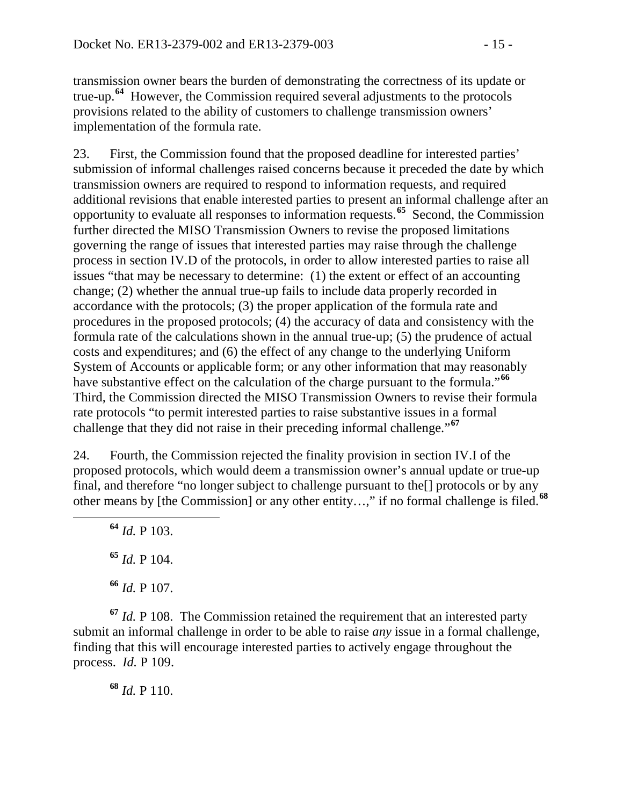transmission owner bears the burden of demonstrating the correctness of its update or true-up.**[64](#page-14-0)** However, the Commission required several adjustments to the protocols provisions related to the ability of customers to challenge transmission owners' implementation of the formula rate.

23. First, the Commission found that the proposed deadline for interested parties' submission of informal challenges raised concerns because it preceded the date by which transmission owners are required to respond to information requests, and required additional revisions that enable interested parties to present an informal challenge after an opportunity to evaluate all responses to information requests.**[65](#page-14-1)** Second, the Commission further directed the MISO Transmission Owners to revise the proposed limitations governing the range of issues that interested parties may raise through the challenge process in section IV.D of the protocols, in order to allow interested parties to raise all issues "that may be necessary to determine: (1) the extent or effect of an accounting change; (2) whether the annual true-up fails to include data properly recorded in accordance with the protocols; (3) the proper application of the formula rate and procedures in the proposed protocols; (4) the accuracy of data and consistency with the formula rate of the calculations shown in the annual true-up; (5) the prudence of actual costs and expenditures; and (6) the effect of any change to the underlying Uniform System of Accounts or applicable form; or any other information that may reasonably have substantive effect on the calculation of the charge pursuant to the formula."**[66](#page-14-2)** Third, the Commission directed the MISO Transmission Owners to revise their formula rate protocols "to permit interested parties to raise substantive issues in a formal challenge that they did not raise in their preceding informal challenge."**[67](#page-14-3)**

<span id="page-14-0"></span>24. Fourth, the Commission rejected the finality provision in section IV.I of the proposed protocols, which would deem a transmission owner's annual update or true-up final, and therefore "no longer subject to challenge pursuant to the[] protocols or by any other means by [the Commission] or any other entity…," if no formal challenge is filed.**[68](#page-14-4)**

 **<sup>64</sup>** *Id.* P 103. **<sup>65</sup>** *Id.* P 104. **<sup>66</sup>** *Id.* P 107.

<span id="page-14-4"></span><span id="page-14-3"></span><span id="page-14-2"></span><span id="page-14-1"></span>**<sup>67</sup>** *Id.* P 108. The Commission retained the requirement that an interested party submit an informal challenge in order to be able to raise *any* issue in a formal challenge, finding that this will encourage interested parties to actively engage throughout the process. *Id.* P 109.

**<sup>68</sup>** *Id.* P 110.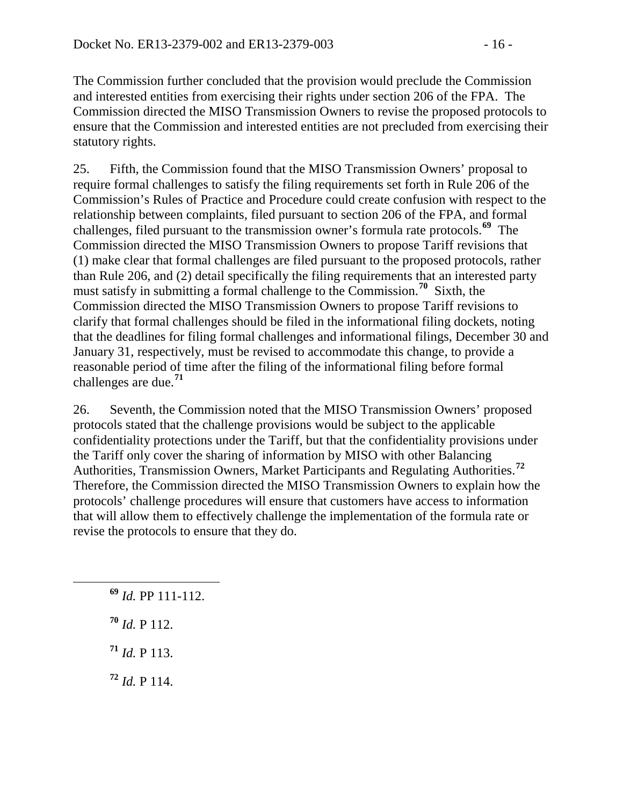The Commission further concluded that the provision would preclude the Commission and interested entities from exercising their rights under section 206 of the FPA. The Commission directed the MISO Transmission Owners to revise the proposed protocols to ensure that the Commission and interested entities are not precluded from exercising their statutory rights.

25. Fifth, the Commission found that the MISO Transmission Owners' proposal to require formal challenges to satisfy the filing requirements set forth in Rule 206 of the Commission's Rules of Practice and Procedure could create confusion with respect to the relationship between complaints, filed pursuant to section 206 of the FPA, and formal challenges, filed pursuant to the transmission owner's formula rate protocols.**[69](#page-15-0)** The Commission directed the MISO Transmission Owners to propose Tariff revisions that (1) make clear that formal challenges are filed pursuant to the proposed protocols, rather than Rule 206, and (2) detail specifically the filing requirements that an interested party must satisfy in submitting a formal challenge to the Commission.**[70](#page-15-1)** Sixth, the Commission directed the MISO Transmission Owners to propose Tariff revisions to clarify that formal challenges should be filed in the informational filing dockets, noting that the deadlines for filing formal challenges and informational filings, December 30 and January 31, respectively, must be revised to accommodate this change, to provide a reasonable period of time after the filing of the informational filing before formal challenges are due.**[71](#page-15-2)**

26. Seventh, the Commission noted that the MISO Transmission Owners' proposed protocols stated that the challenge provisions would be subject to the applicable confidentiality protections under the Tariff, but that the confidentiality provisions under the Tariff only cover the sharing of information by MISO with other Balancing Authorities, Transmission Owners, Market Participants and Regulating Authorities.**[72](#page-15-3)** Therefore, the Commission directed the MISO Transmission Owners to explain how the protocols' challenge procedures will ensure that customers have access to information that will allow them to effectively challenge the implementation of the formula rate or revise the protocols to ensure that they do.

- <span id="page-15-1"></span>**<sup>70</sup>** *Id.* P 112.
- <span id="page-15-2"></span>**<sup>71</sup>** *Id.* P 113.
- <span id="page-15-3"></span>**<sup>72</sup>** *Id.* P 114.

<span id="page-15-0"></span>**<sup>69</sup>** *Id.* PP 111-112.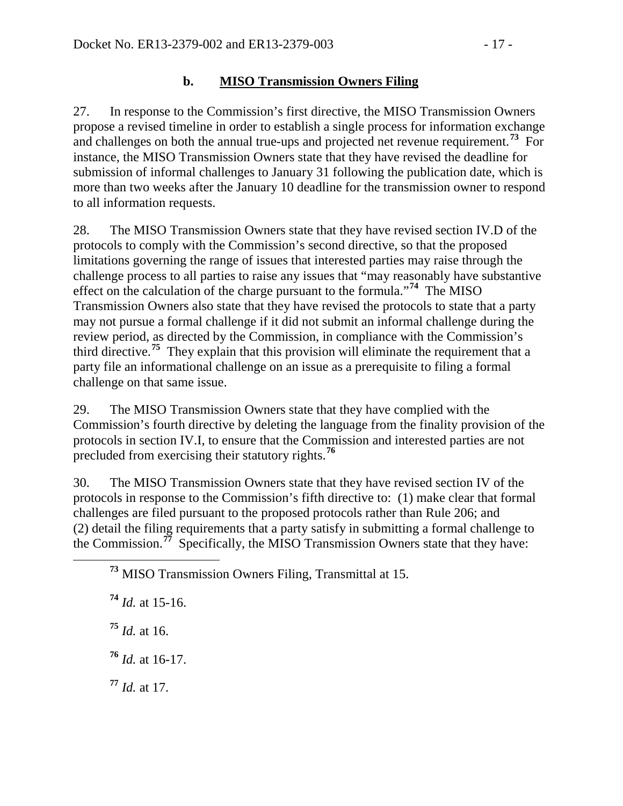### **b. MISO Transmission Owners Filing**

27. In response to the Commission's first directive, the MISO Transmission Owners propose a revised timeline in order to establish a single process for information exchange and challenges on both the annual true-ups and projected net revenue requirement.**[73](#page-16-0)** For instance, the MISO Transmission Owners state that they have revised the deadline for submission of informal challenges to January 31 following the publication date, which is more than two weeks after the January 10 deadline for the transmission owner to respond to all information requests.

28. The MISO Transmission Owners state that they have revised section IV.D of the protocols to comply with the Commission's second directive, so that the proposed limitations governing the range of issues that interested parties may raise through the challenge process to all parties to raise any issues that "may reasonably have substantive effect on the calculation of the charge pursuant to the formula."**[74](#page-16-1)** The MISO Transmission Owners also state that they have revised the protocols to state that a party may not pursue a formal challenge if it did not submit an informal challenge during the review period, as directed by the Commission, in compliance with the Commission's third directive. **[75](#page-16-2)** They explain that this provision will eliminate the requirement that a party file an informational challenge on an issue as a prerequisite to filing a formal challenge on that same issue.

29. The MISO Transmission Owners state that they have complied with the Commission's fourth directive by deleting the language from the finality provision of the protocols in section IV.I, to ensure that the Commission and interested parties are not precluded from exercising their statutory rights.**[76](#page-16-3)**

30. The MISO Transmission Owners state that they have revised section IV of the protocols in response to the Commission's fifth directive to: (1) make clear that formal challenges are filed pursuant to the proposed protocols rather than Rule 206; and (2) detail the filing requirements that a party satisfy in submitting a formal challenge to the Commission.<sup>[77](#page-16-4)</sup> Specifically, the MISO Transmission Owners state that they have:

<span id="page-16-1"></span>**<sup>74</sup>** *Id.* at 15-16.

<span id="page-16-2"></span>**<sup>75</sup>** *Id.* at 16.

<span id="page-16-3"></span>**<sup>76</sup>** *Id.* at 16-17.

<span id="page-16-4"></span>**<sup>77</sup>** *Id.* at 17.

<span id="page-16-0"></span>**<sup>73</sup>** MISO Transmission Owners Filing, Transmittal at 15.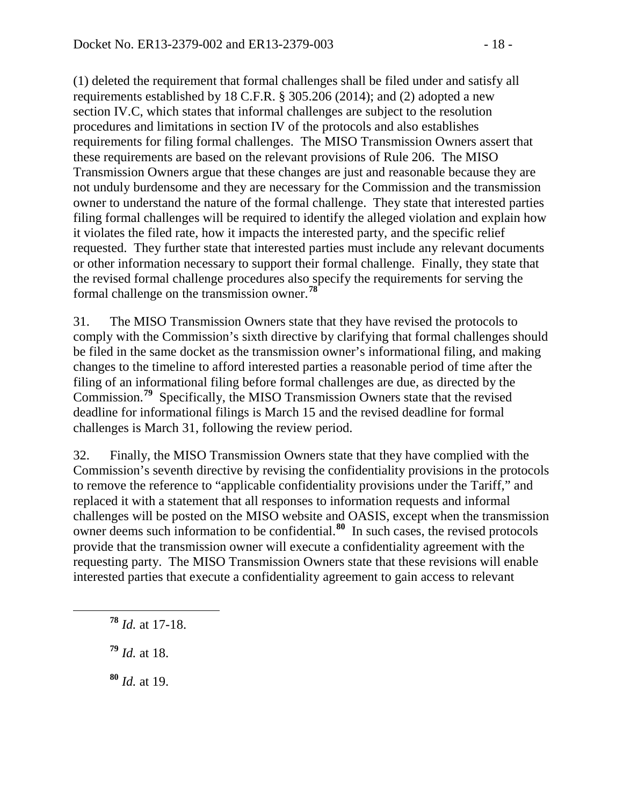(1) deleted the requirement that formal challenges shall be filed under and satisfy all requirements established by 18 C.F.R. § 305.206 (2014); and (2) adopted a new section IV.C, which states that informal challenges are subject to the resolution procedures and limitations in section IV of the protocols and also establishes requirements for filing formal challenges. The MISO Transmission Owners assert that these requirements are based on the relevant provisions of Rule 206. The MISO Transmission Owners argue that these changes are just and reasonable because they are not unduly burdensome and they are necessary for the Commission and the transmission owner to understand the nature of the formal challenge. They state that interested parties filing formal challenges will be required to identify the alleged violation and explain how it violates the filed rate, how it impacts the interested party, and the specific relief requested. They further state that interested parties must include any relevant documents or other information necessary to support their formal challenge. Finally, they state that the revised formal challenge procedures also specify the requirements for serving the formal challenge on the transmission owner.**[78](#page-17-0)**

31. The MISO Transmission Owners state that they have revised the protocols to comply with the Commission's sixth directive by clarifying that formal challenges should be filed in the same docket as the transmission owner's informational filing, and making changes to the timeline to afford interested parties a reasonable period of time after the filing of an informational filing before formal challenges are due, as directed by the Commission.**[79](#page-17-1)** Specifically, the MISO Transmission Owners state that the revised deadline for informational filings is March 15 and the revised deadline for formal challenges is March 31, following the review period.

32. Finally, the MISO Transmission Owners state that they have complied with the Commission's seventh directive by revising the confidentiality provisions in the protocols to remove the reference to "applicable confidentiality provisions under the Tariff," and replaced it with a statement that all responses to information requests and informal challenges will be posted on the MISO website and OASIS, except when the transmission owner deems such information to be confidential.**[80](#page-17-2)** In such cases, the revised protocols provide that the transmission owner will execute a confidentiality agreement with the requesting party. The MISO Transmission Owners state that these revisions will enable interested parties that execute a confidentiality agreement to gain access to relevant

<span id="page-17-0"></span>**<sup>78</sup>** *Id.* at 17-18.

<span id="page-17-1"></span>**<sup>79</sup>** *Id.* at 18.

<span id="page-17-2"></span>**<sup>80</sup>** *Id.* at 19.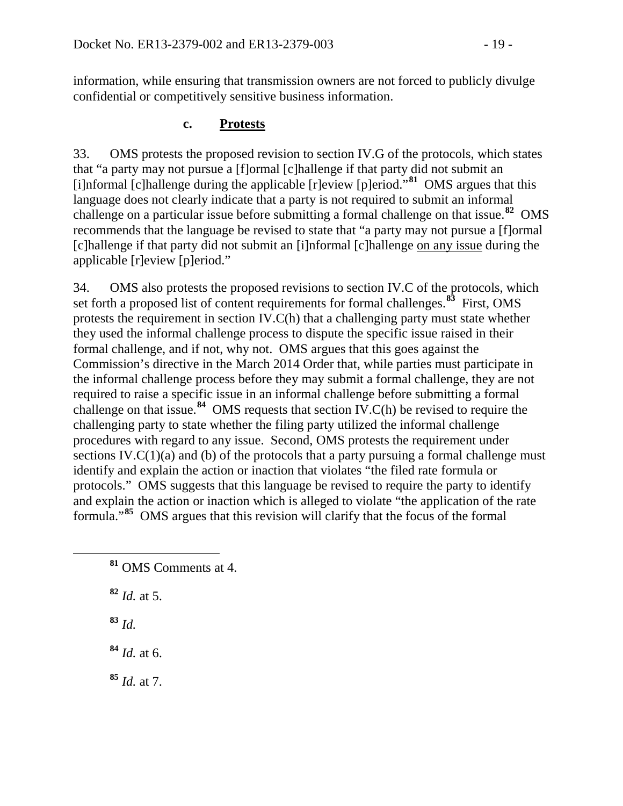information, while ensuring that transmission owners are not forced to publicly divulge confidential or competitively sensitive business information.

### **c. Protests**

33. OMS protests the proposed revision to section IV.G of the protocols, which states that "a party may not pursue a [f]ormal [c]hallenge if that party did not submit an [i]nformal [c]hallenge during the applicable [r]eview [p]eriod."**[81](#page-18-0)** OMS argues that this language does not clearly indicate that a party is not required to submit an informal challenge on a particular issue before submitting a formal challenge on that issue.**[82](#page-18-1)** OMS recommends that the language be revised to state that "a party may not pursue a [f]ormal [c]hallenge if that party did not submit an [i]nformal [c]hallenge on any issue during the applicable [r]eview [p]eriod."

34. OMS also protests the proposed revisions to section IV.C of the protocols, which set forth a proposed list of content requirements for formal challenges.**[83](#page-18-2)** First, OMS protests the requirement in section IV.C(h) that a challenging party must state whether they used the informal challenge process to dispute the specific issue raised in their formal challenge, and if not, why not. OMS argues that this goes against the Commission's directive in the March 2014 Order that, while parties must participate in the informal challenge process before they may submit a formal challenge, they are not required to raise a specific issue in an informal challenge before submitting a formal challenge on that issue.**[84](#page-18-3)** OMS requests that section IV.C(h) be revised to require the challenging party to state whether the filing party utilized the informal challenge procedures with regard to any issue. Second, OMS protests the requirement under sections IV. $C(1)(a)$  and (b) of the protocols that a party pursuing a formal challenge must identify and explain the action or inaction that violates "the filed rate formula or protocols." OMS suggests that this language be revised to require the party to identify and explain the action or inaction which is alleged to violate "the application of the rate formula."**[85](#page-18-4)** OMS argues that this revision will clarify that the focus of the formal

- <span id="page-18-0"></span>**<sup>81</sup>** OMS Comments at 4.
- <span id="page-18-1"></span>**<sup>82</sup>** *Id.* at 5.
- <span id="page-18-2"></span>**<sup>83</sup>** *Id.*
- <span id="page-18-3"></span>**<sup>84</sup>** *Id.* at 6.
- <span id="page-18-4"></span>**<sup>85</sup>** *Id.* at 7.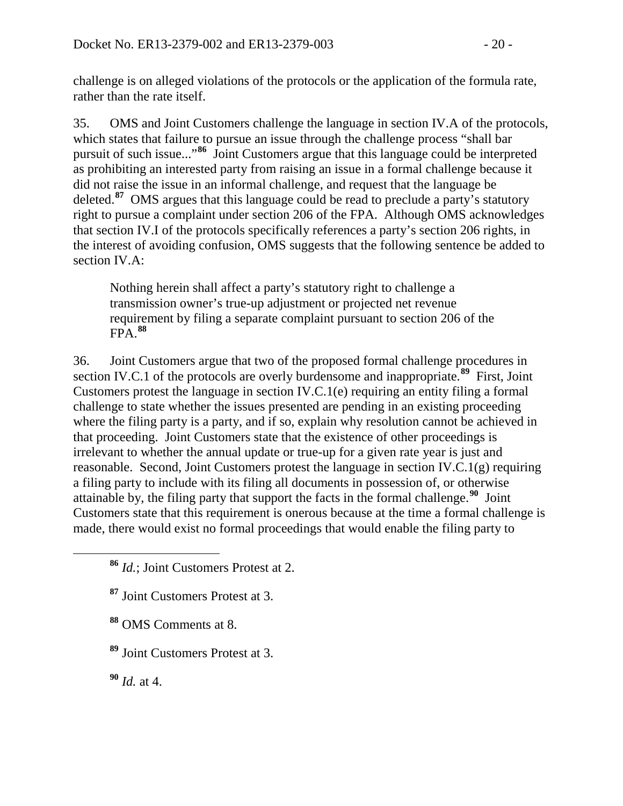challenge is on alleged violations of the protocols or the application of the formula rate, rather than the rate itself.

35. OMS and Joint Customers challenge the language in section IV.A of the protocols, which states that failure to pursue an issue through the challenge process "shall bar pursuit of such issue..."**[86](#page-19-0)** Joint Customers argue that this language could be interpreted as prohibiting an interested party from raising an issue in a formal challenge because it did not raise the issue in an informal challenge, and request that the language be deleted.**[87](#page-19-1)** OMS argues that this language could be read to preclude a party's statutory right to pursue a complaint under section 206 of the FPA. Although OMS acknowledges that section IV.I of the protocols specifically references a party's section 206 rights, in the interest of avoiding confusion, OMS suggests that the following sentence be added to section IV.A:

Nothing herein shall affect a party's statutory right to challenge a transmission owner's true-up adjustment or projected net revenue requirement by filing a separate complaint pursuant to section 206 of the FPA.**[88](#page-19-2)**

36. Joint Customers argue that two of the proposed formal challenge procedures in section IV.C.1 of the protocols are overly burdensome and inappropriate.**[89](#page-19-3)** First, Joint Customers protest the language in section IV.C.1(e) requiring an entity filing a formal challenge to state whether the issues presented are pending in an existing proceeding where the filing party is a party, and if so, explain why resolution cannot be achieved in that proceeding. Joint Customers state that the existence of other proceedings is irrelevant to whether the annual update or true-up for a given rate year is just and reasonable. Second, Joint Customers protest the language in section IV.C.1(g) requiring a filing party to include with its filing all documents in possession of, or otherwise attainable by, the filing party that support the facts in the formal challenge.**[90](#page-19-4)** Joint Customers state that this requirement is onerous because at the time a formal challenge is made, there would exist no formal proceedings that would enable the filing party to

<span id="page-19-0"></span>**<sup>86</sup>** *Id.*; Joint Customers Protest at 2.

<span id="page-19-1"></span>**<sup>87</sup>** Joint Customers Protest at 3.

<span id="page-19-2"></span>**<sup>88</sup>** OMS Comments at 8.

<span id="page-19-3"></span>**<sup>89</sup>** Joint Customers Protest at 3.

<span id="page-19-4"></span>**<sup>90</sup>** *Id.* at 4.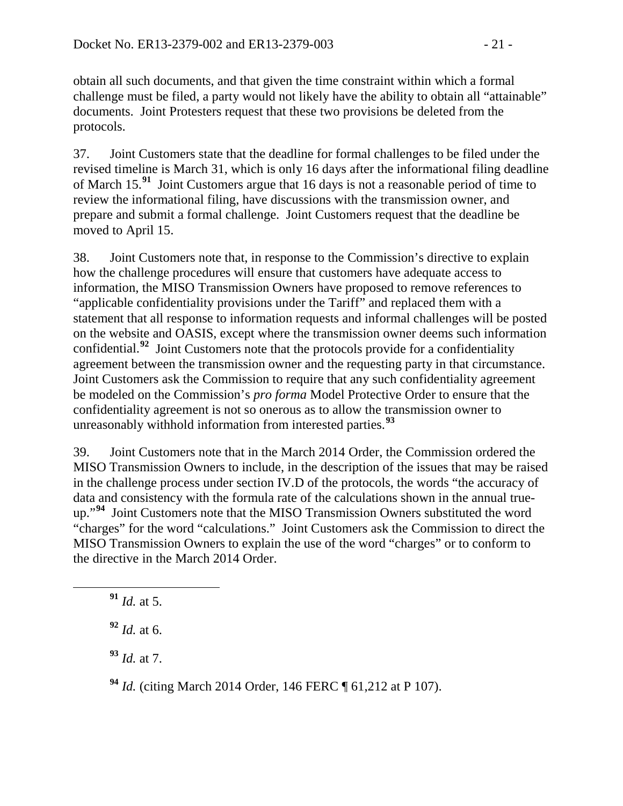obtain all such documents, and that given the time constraint within which a formal challenge must be filed, a party would not likely have the ability to obtain all "attainable" documents. Joint Protesters request that these two provisions be deleted from the protocols.

37. Joint Customers state that the deadline for formal challenges to be filed under the revised timeline is March 31, which is only 16 days after the informational filing deadline of March 15.**[91](#page-20-0)** Joint Customers argue that 16 days is not a reasonable period of time to review the informational filing, have discussions with the transmission owner, and prepare and submit a formal challenge. Joint Customers request that the deadline be moved to April 15.

38. Joint Customers note that, in response to the Commission's directive to explain how the challenge procedures will ensure that customers have adequate access to information, the MISO Transmission Owners have proposed to remove references to "applicable confidentiality provisions under the Tariff" and replaced them with a statement that all response to information requests and informal challenges will be posted on the website and OASIS, except where the transmission owner deems such information confidential.**[92](#page-20-1)** Joint Customers note that the protocols provide for a confidentiality agreement between the transmission owner and the requesting party in that circumstance. Joint Customers ask the Commission to require that any such confidentiality agreement be modeled on the Commission's *pro forma* Model Protective Order to ensure that the confidentiality agreement is not so onerous as to allow the transmission owner to unreasonably withhold information from interested parties.**[93](#page-20-2)**

39. Joint Customers note that in the March 2014 Order, the Commission ordered the MISO Transmission Owners to include, in the description of the issues that may be raised in the challenge process under section IV.D of the protocols, the words "the accuracy of data and consistency with the formula rate of the calculations shown in the annual trueup."**[94](#page-20-3)** Joint Customers note that the MISO Transmission Owners substituted the word "charges" for the word "calculations." Joint Customers ask the Commission to direct the MISO Transmission Owners to explain the use of the word "charges" or to conform to the directive in the March 2014 Order.

<span id="page-20-0"></span>**<sup>91</sup>** *Id.* at 5.

<span id="page-20-1"></span>**<sup>92</sup>** *Id.* at 6.

<span id="page-20-2"></span>**<sup>93</sup>** *Id.* at 7.

<span id="page-20-3"></span>**<sup>94</sup>** *Id.* (citing March 2014 Order, 146 FERC ¶ 61,212 at P 107).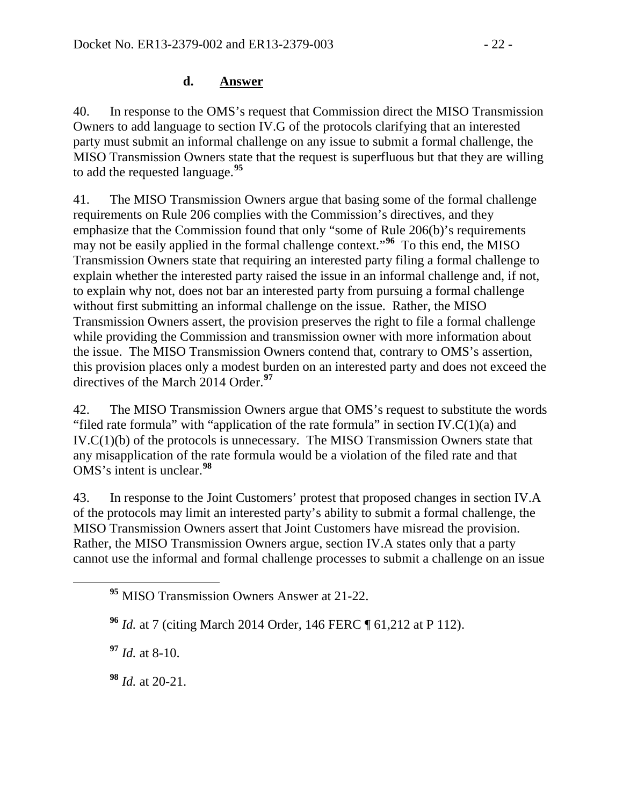### **d. Answer**

40. In response to the OMS's request that Commission direct the MISO Transmission Owners to add language to section IV.G of the protocols clarifying that an interested party must submit an informal challenge on any issue to submit a formal challenge, the MISO Transmission Owners state that the request is superfluous but that they are willing to add the requested language.**[95](#page-21-0)**

41. The MISO Transmission Owners argue that basing some of the formal challenge requirements on Rule 206 complies with the Commission's directives, and they emphasize that the Commission found that only "some of Rule 206(b)'s requirements may not be easily applied in the formal challenge context.<sup>"[96](#page-21-1)</sup> To this end, the MISO Transmission Owners state that requiring an interested party filing a formal challenge to explain whether the interested party raised the issue in an informal challenge and, if not, to explain why not, does not bar an interested party from pursuing a formal challenge without first submitting an informal challenge on the issue. Rather, the MISO Transmission Owners assert, the provision preserves the right to file a formal challenge while providing the Commission and transmission owner with more information about the issue. The MISO Transmission Owners contend that, contrary to OMS's assertion, this provision places only a modest burden on an interested party and does not exceed the directives of the March 2014 Order.**[97](#page-21-2)**

42. The MISO Transmission Owners argue that OMS's request to substitute the words "filed rate formula" with "application of the rate formula" in section IV. $C(1)(a)$  and IV.C(1)(b) of the protocols is unnecessary. The MISO Transmission Owners state that any misapplication of the rate formula would be a violation of the filed rate and that OMS's intent is unclear.**[98](#page-21-3)**

43. In response to the Joint Customers' protest that proposed changes in section IV.A of the protocols may limit an interested party's ability to submit a formal challenge, the MISO Transmission Owners assert that Joint Customers have misread the provision. Rather, the MISO Transmission Owners argue, section IV.A states only that a party cannot use the informal and formal challenge processes to submit a challenge on an issue

<span id="page-21-2"></span>**<sup>97</sup>** *Id.* at 8-10.

<span id="page-21-3"></span>**<sup>98</sup>** *Id.* at 20-21.

<span id="page-21-0"></span>**<sup>95</sup>** MISO Transmission Owners Answer at 21-22.

<span id="page-21-1"></span>**<sup>96</sup>** *Id.* at 7 (citing March 2014 Order, 146 FERC ¶ 61,212 at P 112).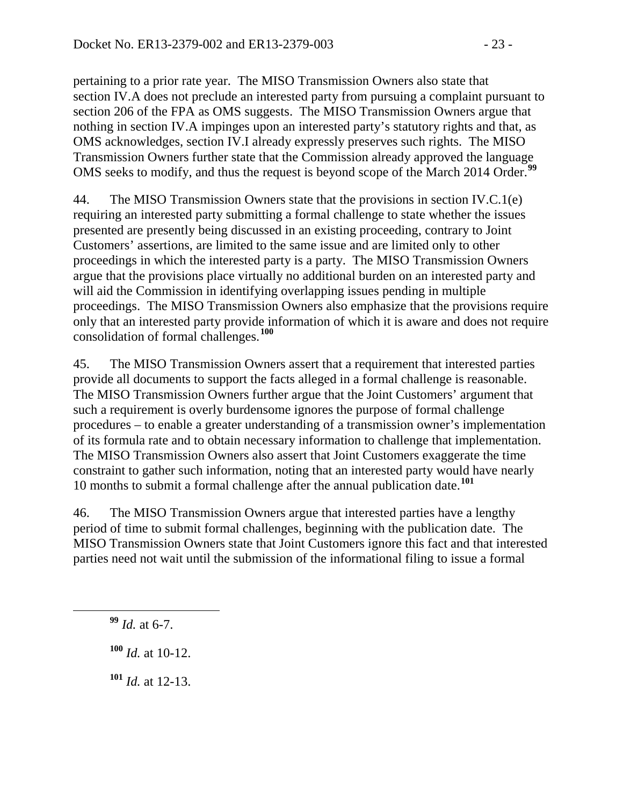pertaining to a prior rate year. The MISO Transmission Owners also state that section IV.A does not preclude an interested party from pursuing a complaint pursuant to section 206 of the FPA as OMS suggests. The MISO Transmission Owners argue that nothing in section IV.A impinges upon an interested party's statutory rights and that, as OMS acknowledges, section IV.I already expressly preserves such rights. The MISO Transmission Owners further state that the Commission already approved the language OMS seeks to modify, and thus the request is beyond scope of the March 2014 Order.**[99](#page-22-0)**

44. The MISO Transmission Owners state that the provisions in section IV.C.1(e) requiring an interested party submitting a formal challenge to state whether the issues presented are presently being discussed in an existing proceeding, contrary to Joint Customers' assertions, are limited to the same issue and are limited only to other proceedings in which the interested party is a party. The MISO Transmission Owners argue that the provisions place virtually no additional burden on an interested party and will aid the Commission in identifying overlapping issues pending in multiple proceedings. The MISO Transmission Owners also emphasize that the provisions require only that an interested party provide information of which it is aware and does not require consolidation of formal challenges.**[100](#page-22-1)**

45. The MISO Transmission Owners assert that a requirement that interested parties provide all documents to support the facts alleged in a formal challenge is reasonable. The MISO Transmission Owners further argue that the Joint Customers' argument that such a requirement is overly burdensome ignores the purpose of formal challenge procedures – to enable a greater understanding of a transmission owner's implementation of its formula rate and to obtain necessary information to challenge that implementation. The MISO Transmission Owners also assert that Joint Customers exaggerate the time constraint to gather such information, noting that an interested party would have nearly 10 months to submit a formal challenge after the annual publication date.**[101](#page-22-2)**

46. The MISO Transmission Owners argue that interested parties have a lengthy period of time to submit formal challenges, beginning with the publication date. The MISO Transmission Owners state that Joint Customers ignore this fact and that interested parties need not wait until the submission of the informational filing to issue a formal

<span id="page-22-1"></span>**<sup>100</sup>** *Id.* at 10-12.

<span id="page-22-2"></span>**<sup>101</sup>** *Id.* at 12-13.

<span id="page-22-0"></span>**<sup>99</sup>** *Id.* at 6-7.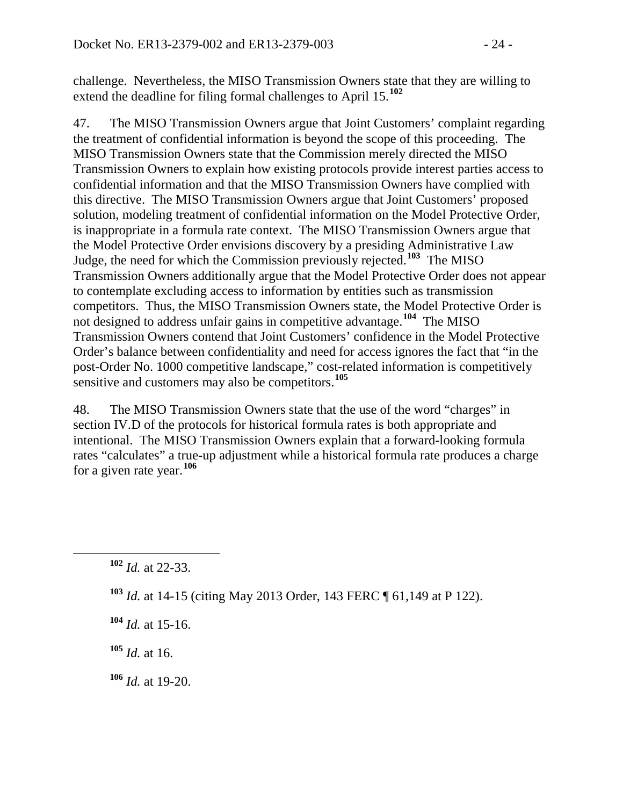challenge. Nevertheless, the MISO Transmission Owners state that they are willing to extend the deadline for filing formal challenges to April 15.**[102](#page-23-0)**

47. The MISO Transmission Owners argue that Joint Customers' complaint regarding the treatment of confidential information is beyond the scope of this proceeding. The MISO Transmission Owners state that the Commission merely directed the MISO Transmission Owners to explain how existing protocols provide interest parties access to confidential information and that the MISO Transmission Owners have complied with this directive. The MISO Transmission Owners argue that Joint Customers' proposed solution, modeling treatment of confidential information on the Model Protective Order, is inappropriate in a formula rate context. The MISO Transmission Owners argue that the Model Protective Order envisions discovery by a presiding Administrative Law Judge, the need for which the Commission previously rejected.**[103](#page-23-1)** The MISO Transmission Owners additionally argue that the Model Protective Order does not appear to contemplate excluding access to information by entities such as transmission competitors. Thus, the MISO Transmission Owners state, the Model Protective Order is not designed to address unfair gains in competitive advantage.**[104](#page-23-2)** The MISO Transmission Owners contend that Joint Customers' confidence in the Model Protective Order's balance between confidentiality and need for access ignores the fact that "in the post-Order No. 1000 competitive landscape," cost-related information is competitively sensitive and customers may also be competitors.**[105](#page-23-3)**

48. The MISO Transmission Owners state that the use of the word "charges" in section IV.D of the protocols for historical formula rates is both appropriate and intentional. The MISO Transmission Owners explain that a forward-looking formula rates "calculates" a true-up adjustment while a historical formula rate produces a charge for a given rate year.**[106](#page-23-4)**

<span id="page-23-0"></span>**<sup>102</sup>** *Id.* at 22-33.

<span id="page-23-1"></span>**<sup>103</sup>** *Id.* at 14-15 (citing May 2013 Order, 143 FERC ¶ 61,149 at P 122).

<span id="page-23-2"></span>**<sup>104</sup>** *Id.* at 15-16.

<span id="page-23-3"></span>**<sup>105</sup>** *Id.* at 16.

<span id="page-23-4"></span>**<sup>106</sup>** *Id.* at 19-20.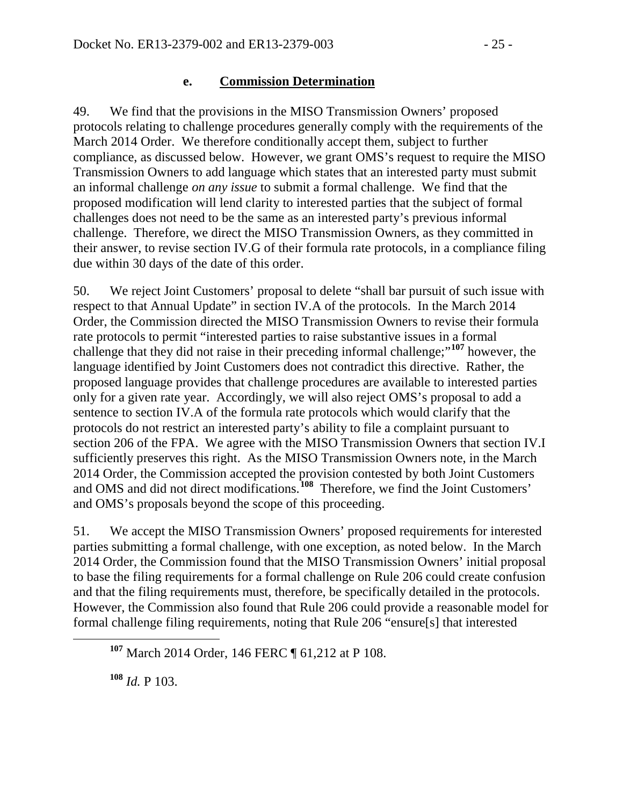#### **e. Commission Determination**

49. We find that the provisions in the MISO Transmission Owners' proposed protocols relating to challenge procedures generally comply with the requirements of the March 2014 Order. We therefore conditionally accept them, subject to further compliance, as discussed below. However, we grant OMS's request to require the MISO Transmission Owners to add language which states that an interested party must submit an informal challenge *on any issue* to submit a formal challenge. We find that the proposed modification will lend clarity to interested parties that the subject of formal challenges does not need to be the same as an interested party's previous informal challenge. Therefore, we direct the MISO Transmission Owners, as they committed in their answer, to revise section IV.G of their formula rate protocols, in a compliance filing due within 30 days of the date of this order.

50. We reject Joint Customers' proposal to delete "shall bar pursuit of such issue with respect to that Annual Update" in section IV.A of the protocols. In the March 2014 Order, the Commission directed the MISO Transmission Owners to revise their formula rate protocols to permit "interested parties to raise substantive issues in a formal challenge that they did not raise in their preceding informal challenge;"**[107](#page-24-0)** however, the language identified by Joint Customers does not contradict this directive. Rather, the proposed language provides that challenge procedures are available to interested parties only for a given rate year. Accordingly, we will also reject OMS's proposal to add a sentence to section IV.A of the formula rate protocols which would clarify that the protocols do not restrict an interested party's ability to file a complaint pursuant to section 206 of the FPA. We agree with the MISO Transmission Owners that section IV.I sufficiently preserves this right. As the MISO Transmission Owners note, in the March 2014 Order, the Commission accepted the provision contested by both Joint Customers and OMS and did not direct modifications.**[108](#page-24-1)** Therefore, we find the Joint Customers' and OMS's proposals beyond the scope of this proceeding.

51. We accept the MISO Transmission Owners' proposed requirements for interested parties submitting a formal challenge, with one exception, as noted below. In the March 2014 Order, the Commission found that the MISO Transmission Owners' initial proposal to base the filing requirements for a formal challenge on Rule 206 could create confusion and that the filing requirements must, therefore, be specifically detailed in the protocols. However, the Commission also found that Rule 206 could provide a reasonable model for formal challenge filing requirements, noting that Rule 206 "ensure[s] that interested

<span id="page-24-1"></span>**<sup>108</sup>** *Id.* P 103.

<span id="page-24-0"></span>**<sup>107</sup>** March 2014 Order, 146 FERC ¶ 61,212 at P 108.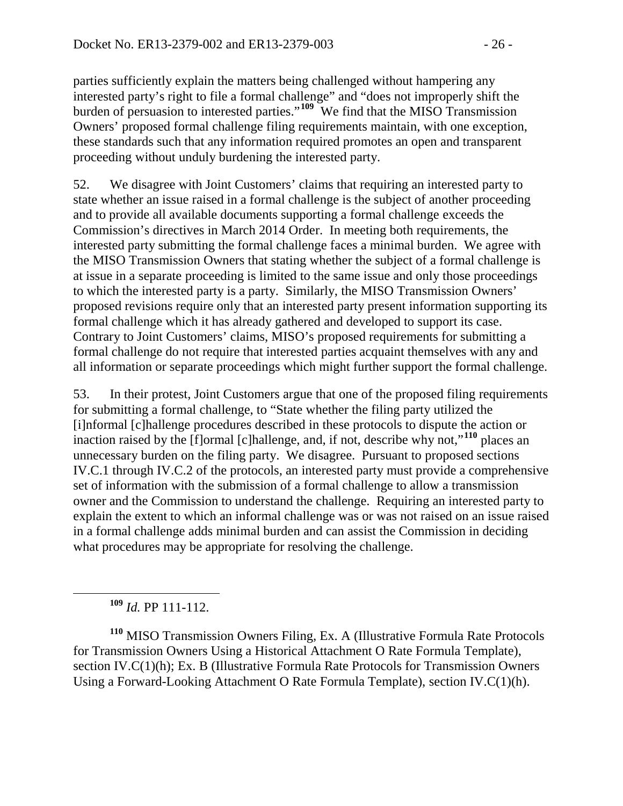parties sufficiently explain the matters being challenged without hampering any interested party's right to file a formal challenge" and "does not improperly shift the burden of persuasion to interested parties."**[109](#page-25-0)** We find that the MISO Transmission Owners' proposed formal challenge filing requirements maintain, with one exception, these standards such that any information required promotes an open and transparent proceeding without unduly burdening the interested party.

52. We disagree with Joint Customers' claims that requiring an interested party to state whether an issue raised in a formal challenge is the subject of another proceeding and to provide all available documents supporting a formal challenge exceeds the Commission's directives in March 2014 Order. In meeting both requirements, the interested party submitting the formal challenge faces a minimal burden. We agree with the MISO Transmission Owners that stating whether the subject of a formal challenge is at issue in a separate proceeding is limited to the same issue and only those proceedings to which the interested party is a party. Similarly, the MISO Transmission Owners' proposed revisions require only that an interested party present information supporting its formal challenge which it has already gathered and developed to support its case. Contrary to Joint Customers' claims, MISO's proposed requirements for submitting a formal challenge do not require that interested parties acquaint themselves with any and all information or separate proceedings which might further support the formal challenge.

53. In their protest, Joint Customers argue that one of the proposed filing requirements for submitting a formal challenge, to "State whether the filing party utilized the [i]nformal [c]hallenge procedures described in these protocols to dispute the action or inaction raised by the [f]ormal [c]hallenge, and, if not, describe why not,"**[110](#page-25-1)** places an unnecessary burden on the filing party. We disagree. Pursuant to proposed sections IV.C.1 through IV.C.2 of the protocols, an interested party must provide a comprehensive set of information with the submission of a formal challenge to allow a transmission owner and the Commission to understand the challenge. Requiring an interested party to explain the extent to which an informal challenge was or was not raised on an issue raised in a formal challenge adds minimal burden and can assist the Commission in deciding what procedures may be appropriate for resolving the challenge.

**<sup>109</sup>** *Id.* PP 111-112.

<span id="page-25-1"></span><span id="page-25-0"></span>**<sup>110</sup>** MISO Transmission Owners Filing, Ex. A (Illustrative Formula Rate Protocols for Transmission Owners Using a Historical Attachment O Rate Formula Template), section IV.C(1)(h); Ex. B (Illustrative Formula Rate Protocols for Transmission Owners Using a Forward-Looking Attachment O Rate Formula Template), section IV.C(1)(h).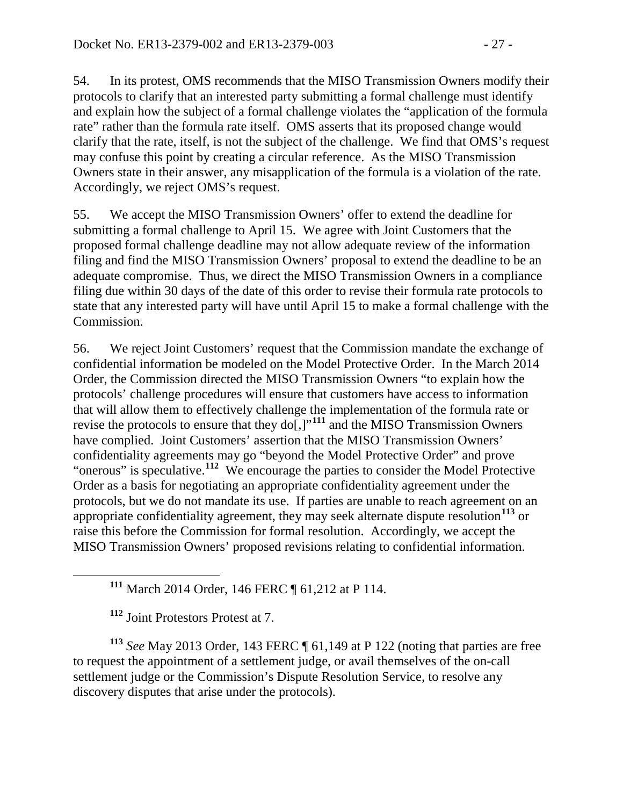54. In its protest, OMS recommends that the MISO Transmission Owners modify their protocols to clarify that an interested party submitting a formal challenge must identify and explain how the subject of a formal challenge violates the "application of the formula rate" rather than the formula rate itself. OMS asserts that its proposed change would clarify that the rate, itself, is not the subject of the challenge. We find that OMS's request may confuse this point by creating a circular reference. As the MISO Transmission Owners state in their answer, any misapplication of the formula is a violation of the rate. Accordingly, we reject OMS's request.

55. We accept the MISO Transmission Owners' offer to extend the deadline for submitting a formal challenge to April 15. We agree with Joint Customers that the proposed formal challenge deadline may not allow adequate review of the information filing and find the MISO Transmission Owners' proposal to extend the deadline to be an adequate compromise. Thus, we direct the MISO Transmission Owners in a compliance filing due within 30 days of the date of this order to revise their formula rate protocols to state that any interested party will have until April 15 to make a formal challenge with the Commission.

56. We reject Joint Customers' request that the Commission mandate the exchange of confidential information be modeled on the Model Protective Order. In the March 2014 Order, the Commission directed the MISO Transmission Owners "to explain how the protocols' challenge procedures will ensure that customers have access to information that will allow them to effectively challenge the implementation of the formula rate or revise the protocols to ensure that they do[,]<sup>"[111](#page-26-0)</sup> and the MISO Transmission Owners have complied. Joint Customers' assertion that the MISO Transmission Owners' confidentiality agreements may go "beyond the Model Protective Order" and prove "onerous" is speculative.**[112](#page-26-1)** We encourage the parties to consider the Model Protective Order as a basis for negotiating an appropriate confidentiality agreement under the protocols, but we do not mandate its use. If parties are unable to reach agreement on an appropriate confidentiality agreement, they may seek alternate dispute resolution**[113](#page-26-2)** or raise this before the Commission for formal resolution. Accordingly, we accept the MISO Transmission Owners' proposed revisions relating to confidential information.

**<sup>111</sup>** March 2014 Order, 146 FERC ¶ 61,212 at P 114.

**<sup>112</sup>** Joint Protestors Protest at 7.

<span id="page-26-2"></span><span id="page-26-1"></span><span id="page-26-0"></span>**<sup>113</sup>** *See* May 2013 Order, 143 FERC ¶ 61,149 at P 122 (noting that parties are free to request the appointment of a settlement judge, or avail themselves of the on-call settlement judge or the Commission's Dispute Resolution Service, to resolve any discovery disputes that arise under the protocols).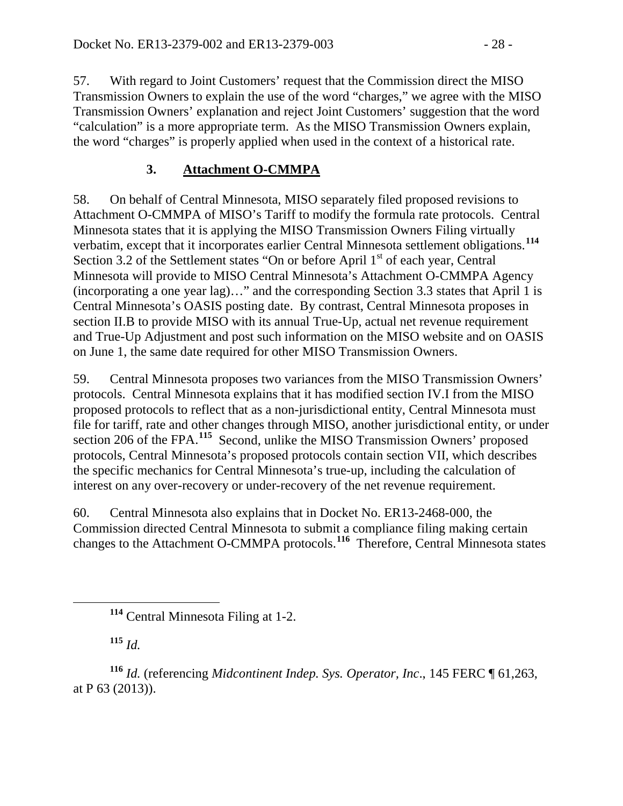57. With regard to Joint Customers' request that the Commission direct the MISO Transmission Owners to explain the use of the word "charges," we agree with the MISO Transmission Owners' explanation and reject Joint Customers' suggestion that the word "calculation" is a more appropriate term. As the MISO Transmission Owners explain, the word "charges" is properly applied when used in the context of a historical rate.

# **3. Attachment O-CMMPA**

58. On behalf of Central Minnesota, MISO separately filed proposed revisions to Attachment O-CMMPA of MISO's Tariff to modify the formula rate protocols. Central Minnesota states that it is applying the MISO Transmission Owners Filing virtually verbatim, except that it incorporates earlier Central Minnesota settlement obligations.**[114](#page-27-0)** Section 3.2 of the Settlement states "On or before April 1<sup>st</sup> of each year, Central Minnesota will provide to MISO Central Minnesota's Attachment O-CMMPA Agency (incorporating a one year lag)…" and the corresponding Section 3.3 states that April 1 is Central Minnesota's OASIS posting date. By contrast, Central Minnesota proposes in section II.B to provide MISO with its annual True-Up, actual net revenue requirement and True-Up Adjustment and post such information on the MISO website and on OASIS on June 1, the same date required for other MISO Transmission Owners.

59. Central Minnesota proposes two variances from the MISO Transmission Owners' protocols. Central Minnesota explains that it has modified section IV.I from the MISO proposed protocols to reflect that as a non-jurisdictional entity, Central Minnesota must file for tariff, rate and other changes through MISO, another jurisdictional entity, or under section 206 of the FPA.<sup>[115](#page-27-1)</sup> Second, unlike the MISO Transmission Owners' proposed protocols, Central Minnesota's proposed protocols contain section VII, which describes the specific mechanics for Central Minnesota's true-up, including the calculation of interest on any over-recovery or under-recovery of the net revenue requirement.

60. Central Minnesota also explains that in Docket No. ER13-2468-000, the Commission directed Central Minnesota to submit a compliance filing making certain changes to the Attachment O-CMMPA protocols.**[116](#page-27-2)** Therefore, Central Minnesota states

**<sup>115</sup>** *Id.*

<span id="page-27-2"></span><span id="page-27-1"></span><span id="page-27-0"></span>**<sup>116</sup>** *Id.* (referencing *Midcontinent Indep. Sys. Operator, Inc*., 145 FERC ¶ 61,263, at P 63 (2013)).

**<sup>114</sup>** Central Minnesota Filing at 1-2.